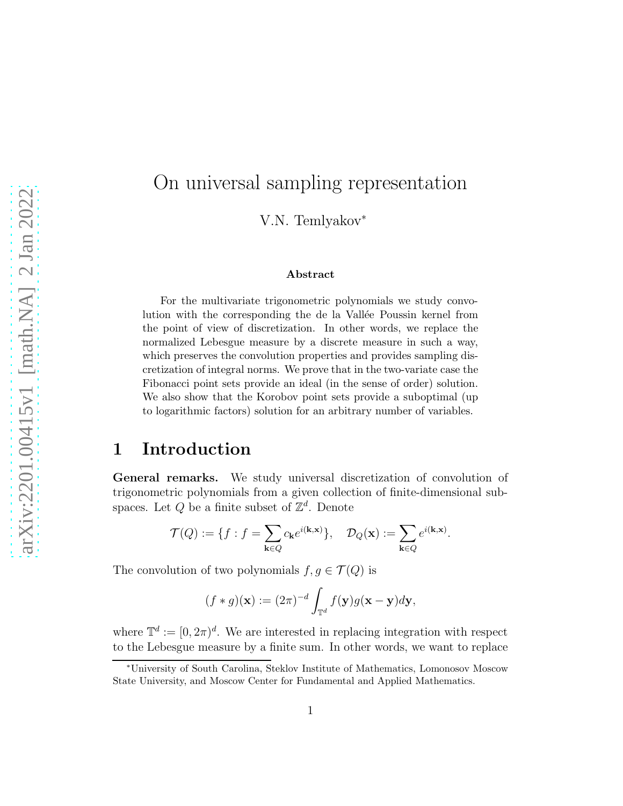# On universal sampling representation

V.N. Temlyakov<sup>∗</sup>

#### Abstract

For the multivariate trigonometric polynomials we study convolution with the corresponding the de la Vallée Poussin kernel from the point of view of discretization. In other words, we replace the normalized Lebesgue measure by a discrete measure in such a way, which preserves the convolution properties and provides sampling discretization of integral norms. We prove that in the two-variate case the Fibonacci point sets provide an ideal (in the sense of order) solution. We also show that the Korobov point sets provide a suboptimal (up to logarithmic factors) solution for an arbitrary number of variables.

### 1 Introduction

General remarks. We study universal discretization of convolution of trigonometric polynomials from a given collection of finite-dimensional subspaces. Let  $Q$  be a finite subset of  $\mathbb{Z}^d$ . Denote

$$
\mathcal{T}(Q) := \{ f : f = \sum_{\mathbf{k} \in Q} c_{\mathbf{k}} e^{i(\mathbf{k}, \mathbf{x})} \}, \quad \mathcal{D}_Q(\mathbf{x}) := \sum_{\mathbf{k} \in Q} e^{i(\mathbf{k}, \mathbf{x})}.
$$

The convolution of two polynomials  $f, g \in \mathcal{T}(Q)$  is

$$
(f * g)(\mathbf{x}) := (2\pi)^{-d} \int_{\mathbb{T}^d} f(\mathbf{y}) g(\mathbf{x} - \mathbf{y}) d\mathbf{y},
$$

where  $\mathbb{T}^d := [0, 2\pi)^d$ . We are interested in replacing integration with respect to the Lebesgue measure by a finite sum. In other words, we want to replace

<sup>∗</sup>University of South Carolina, Steklov Institute of Mathematics, Lomonosov Moscow State University, and Moscow Center for Fundamental and Applied Mathematics.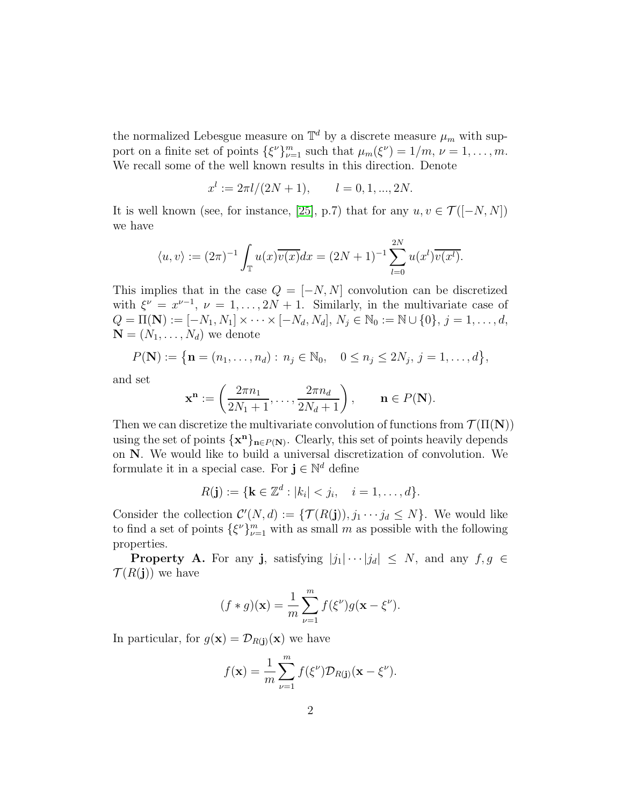the normalized Lebesgue measure on  $\mathbb{T}^d$  by a discrete measure  $\mu_m$  with support on a finite set of points  $\{\xi^{\nu}\}_{\nu=1}^{m}$  such that  $\mu_m(\xi^{\nu}) = 1/m$ ,  $\nu = 1, ..., m$ . We recall some of the well known results in this direction. Denote

$$
x^{l} := 2\pi l/(2N + 1), \qquad l = 0, 1, ..., 2N.
$$

It is well known (see, for instance, [\[25\]](#page-25-0), p.7) that for any  $u, v \in \mathcal{T}([-N, N])$ we have

$$
\langle u, v \rangle := (2\pi)^{-1} \int_{\mathbb{T}} u(x) \overline{v(x)} dx = (2N+1)^{-1} \sum_{l=0}^{2N} u(x^l) \overline{v(x^l)}.
$$

This implies that in the case  $Q = [-N, N]$  convolution can be discretized with  $\xi^{\nu} = x^{\nu-1}$ ,  $\nu = 1, ..., 2N + 1$ . Similarly, in the multivariate case of  $Q = \Pi(\mathbf{N}) := [-N_1, N_1] \times \cdots \times [-N_d, N_d], N_j \in \mathbb{N}_0 := \mathbb{N} \cup \{0\}, j = 1, \ldots, d,$  $\mathbf{N} = (N_1, \ldots, N_d)$  we denote

$$
P(\mathbf{N}) := \{ \mathbf{n} = (n_1, \dots, n_d) : n_j \in \mathbb{N}_0, \quad 0 \le n_j \le 2N_j, j = 1, \dots, d \},\
$$

and set

$$
\mathbf{x}^{\mathbf{n}} := \left(\frac{2\pi n_1}{2N_1 + 1}, \dots, \frac{2\pi n_d}{2N_d + 1}\right), \qquad \mathbf{n} \in P(\mathbf{N}).
$$

Then we can discretize the multivariate convolution of functions from  $\mathcal{T}(\Pi(N))$ using the set of points  $\{x^n\}_{n \in P(N)}$ . Clearly, this set of points heavily depends on N. We would like to build a universal discretization of convolution. We formulate it in a special case. For  $\mathbf{j} \in \mathbb{N}^d$  define

$$
R(\mathbf{j}) := \{ \mathbf{k} \in \mathbb{Z}^d : |k_i| < j_i, \quad i = 1, \dots, d \}.
$$

Consider the collection  $\mathcal{C}'(N,d) := \{ \mathcal{T}(R(j)), j_1 \cdots j_d \leq N \}$ . We would like to find a set of points  $\{\xi^{\nu}\}_{\nu=1}^m$  with as small m as possible with the following properties.

**Property A.** For any **j**, satisfying  $|j_1| \cdots |j_d| \leq N$ , and any  $f, g \in$  $\mathcal{T}(R(j))$  we have

$$
(f * g)(\mathbf{x}) = \frac{1}{m} \sum_{\nu=1}^{m} f(\xi^{\nu}) g(\mathbf{x} - \xi^{\nu}).
$$

In particular, for  $g(\mathbf{x}) = \mathcal{D}_{R(i)}(\mathbf{x})$  we have

$$
f(\mathbf{x}) = \frac{1}{m} \sum_{\nu=1}^{m} f(\xi^{\nu}) \mathcal{D}_{R(\mathbf{j})}(\mathbf{x} - \xi^{\nu}).
$$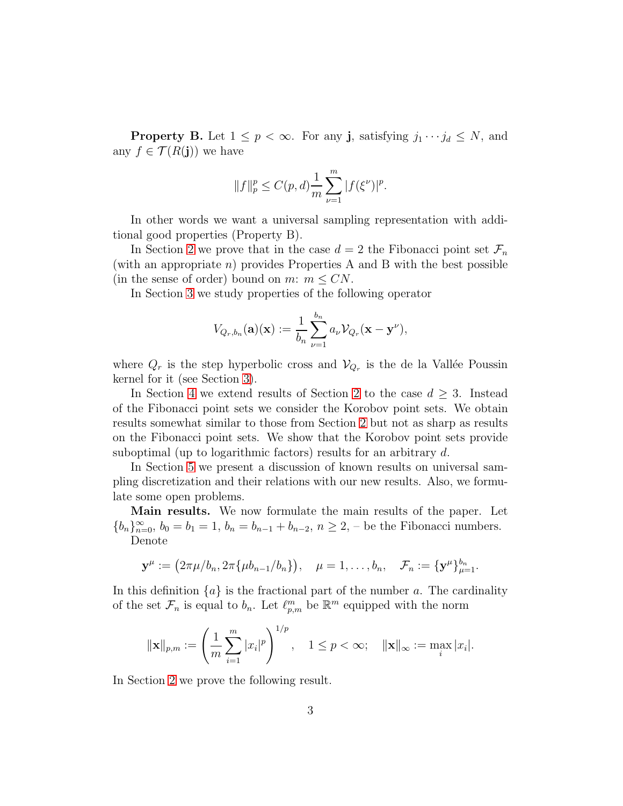**Property B.** Let  $1 \leq p < \infty$ . For any **j**, satisfying  $j_1 \cdots j_d \leq N$ , and any  $f \in \mathcal{T}(R(j))$  we have

$$
||f||_{p}^{p} \leq C(p,d) \frac{1}{m} \sum_{\nu=1}^{m} |f(\xi^{\nu})|^{p}.
$$

In other words we want a universal sampling representation with additional good properties (Property B).

In Section [2](#page-4-0) we prove that in the case  $d = 2$  the Fibonacci point set  $\mathcal{F}_n$ (with an appropriate  $n$ ) provides Properties A and B with the best possible (in the sense of order) bound on m:  $m \leq CN$ .

In Section [3](#page-7-0) we study properties of the following operator

$$
V_{Q_r,b_n}(\mathbf{a})(\mathbf{x}) := \frac{1}{b_n} \sum_{\nu=1}^{b_n} a_{\nu} V_{Q_r}(\mathbf{x} - \mathbf{y}^{\nu}),
$$

where  $Q_r$  is the step hyperbolic cross and  $\mathcal{V}_{Q_r}$  is the de la Vallée Poussin kernel for it (see Section [3\)](#page-7-0).

In Section [4](#page-12-0) we extend results of Section [2](#page-4-0) to the case  $d \geq 3$ . Instead of the Fibonacci point sets we consider the Korobov point sets. We obtain results somewhat similar to those from Section [2](#page-4-0) but not as sharp as results on the Fibonacci point sets. We show that the Korobov point sets provide suboptimal (up to logarithmic factors) results for an arbitrary d.

In Section [5](#page-15-0) we present a discussion of known results on universal sampling discretization and their relations with our new results. Also, we formulate some open problems.

Main results. We now formulate the main results of the paper. Let  ${b_n}_{n=0}^{\infty}$ ,  $b_0 = b_1 = 1$ ,  $b_n = b_{n-1} + b_{n-2}$ ,  $n \ge 2$ , – be the Fibonacci numbers. Denote

$$
\mathbf{y}^{\mu} := (2\pi\mu/b_n, 2\pi\{\mu b_{n-1}/b_n\}), \quad \mu = 1, \ldots, b_n, \quad \mathcal{F}_n := {\mathbf{y}^{\mu}}_{\mu=1}^{b_n}.
$$

In this definition  $\{a\}$  is the fractional part of the number a. The cardinality of the set  $\mathcal{F}_n$  is equal to  $b_n$ . Let  $\ell_{p,m}^m$  be  $\mathbb{R}^m$  equipped with the norm

$$
\|\mathbf{x}\|_{p,m} := \left(\frac{1}{m}\sum_{i=1}^m |x_i|^p\right)^{1/p}, \quad 1 \le p < \infty; \quad \|\mathbf{x}\|_{\infty} := \max_i |x_i|.
$$

In Section [2](#page-4-0) we prove the following result.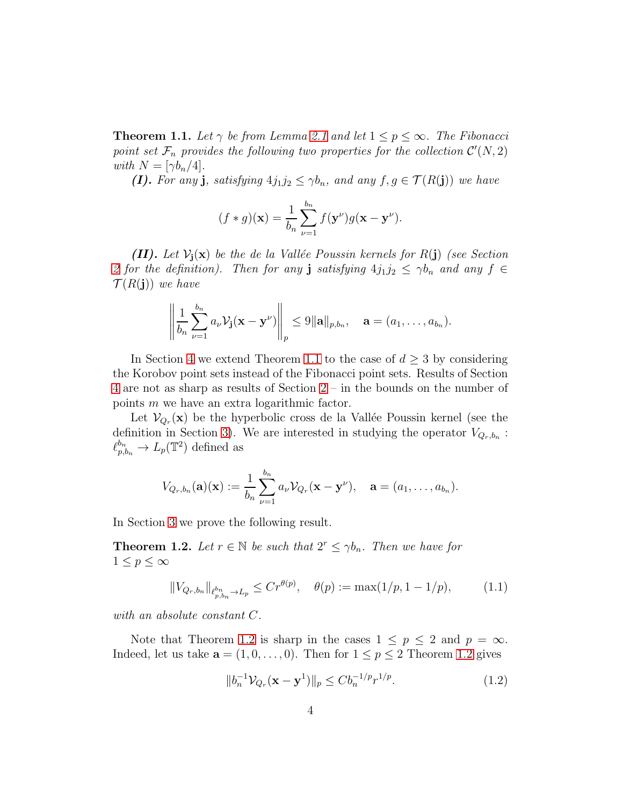<span id="page-3-0"></span>**Theorem 1.1.** Let  $\gamma$  be from Lemma [2.1](#page-5-0) and let  $1 \leq p \leq \infty$ . The Fibonacci point set  $\mathcal{F}_n$  provides the following two properties for the collection  $\mathcal{C}'(N,2)$ *with*  $N = \lfloor \gamma b_n/4 \rfloor$ *.* 

(I). For any **j**, satisfying  $4j_1j_2 \leq \gamma b_n$ , and any  $f, g \in \mathcal{T}(R(j))$  we have

$$
(f * g)(\mathbf{x}) = \frac{1}{b_n} \sum_{\nu=1}^{b_n} f(\mathbf{y}^{\nu}) g(\mathbf{x} - \mathbf{y}^{\nu}).
$$

(II). Let  $V_i(x)$  be the de la Vallée Poussin kernels for  $R(j)$  (see Section [2](#page-4-0) for the definition). Then for any **j** satisfying  $4j_1j_2 \leq \gamma b_n$  and any  $f \in$  $\mathcal{T}(R(j))$  *we have* 

$$
\left\|\frac{1}{b_n}\sum_{\nu=1}^{b_n}a_{\nu}\mathcal{V}_{\mathbf{j}}(\mathbf{x}-\mathbf{y}^{\nu})\right\|_p\leq 9\|\mathbf{a}\|_{p,b_n}, \quad \mathbf{a}=(a_1,\ldots,a_{b_n}).
$$

In Section [4](#page-12-0) we extend Theorem [1.1](#page-3-0) to the case of  $d \geq 3$  by considering the Korobov point sets instead of the Fibonacci point sets. Results of Section [4](#page-12-0) are not as sharp as results of Section [2](#page-4-0) – in the bounds on the number of points m we have an extra logarithmic factor.

Let  $\mathcal{V}_{Q_r}(\mathbf{x})$  be the hyperbolic cross de la Vallée Poussin kernel (see the definition in Section [3\)](#page-7-0). We are interested in studying the operator  $V_{Q_r,b_n}$ :  $\ell_{p,b_n}^{b_n} \to L_p(\mathbb{T}^2)$  defined as

$$
V_{Q_r,b_n}(\mathbf{a})(\mathbf{x}) := \frac{1}{b_n} \sum_{\nu=1}^{b_n} a_{\nu} V_{Q_r}(\mathbf{x} - \mathbf{y}^{\nu}), \quad \mathbf{a} = (a_1, \ldots, a_{b_n}).
$$

In Section [3](#page-7-0) we prove the following result.

<span id="page-3-1"></span>**Theorem 1.2.** Let  $r \in \mathbb{N}$  be such that  $2^r \leq \gamma b_n$ . Then we have for  $1 \leq p \leq \infty$ 

<span id="page-3-3"></span>
$$
||V_{Q_r,b_n}||_{\ell_{p,b_n}^{b_n} \to L_p} \le Cr^{\theta(p)}, \quad \theta(p) := \max(1/p, 1-1/p), \tag{1.1}
$$

*with an absolute constant* C*.*

Note that Theorem [1.2](#page-3-1) is sharp in the cases  $1 \leq p \leq 2$  and  $p = \infty$ . Indeed, let us take  $\mathbf{a} = (1, 0, \dots, 0)$ . Then for  $1 \leq p \leq 2$  Theorem [1.2](#page-3-1) gives

<span id="page-3-2"></span>
$$
||b_n^{-1} \mathcal{V}_{Q_r}(\mathbf{x} - \mathbf{y}^1)||_p \le C b_n^{-1/p} r^{1/p}.
$$
 (1.2)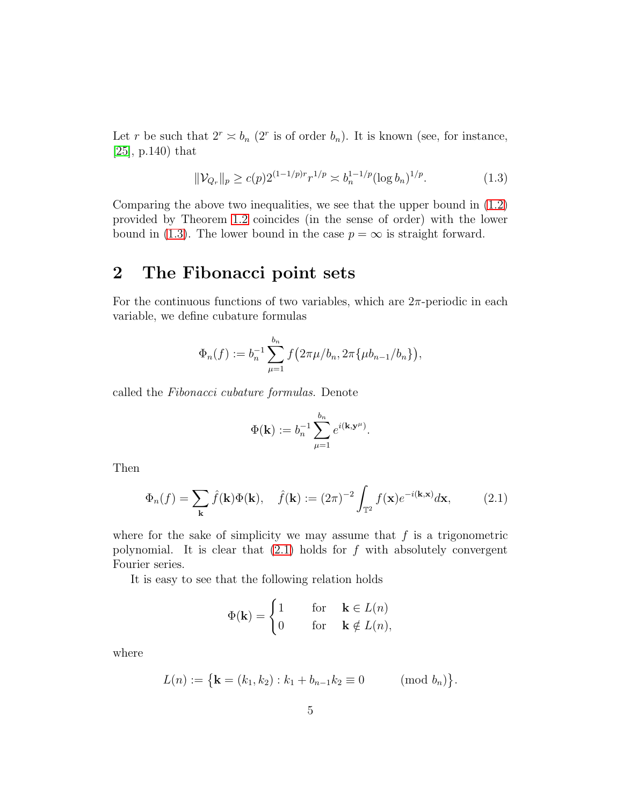Let r be such that  $2^r \approx b_n$  ( $2^r$  is of order  $b_n$ ). It is known (see, for instance, [\[25\]](#page-25-0), p.140) that

<span id="page-4-1"></span>
$$
\|\mathcal{V}_{Q_r}\|_p \ge c(p)2^{(1-1/p)r}r^{1/p} \asymp b_n^{1-1/p}(\log b_n)^{1/p}.\tag{1.3}
$$

Comparing the above two inequalities, we see that the upper bound in [\(1.2\)](#page-3-2) provided by Theorem [1.2](#page-3-1) coincides (in the sense of order) with the lower bound in [\(1.3\)](#page-4-1). The lower bound in the case  $p = \infty$  is straight forward.

## <span id="page-4-0"></span>2 The Fibonacci point sets

For the continuous functions of two variables, which are  $2\pi$ -periodic in each variable, we define cubature formulas

$$
\Phi_n(f) := b_n^{-1} \sum_{\mu=1}^{b_n} f\big(2\pi\mu/b_n, 2\pi\{\mu b_{n-1}/b_n\}\big),
$$

called the *Fibonacci cubature formulas*. Denote

$$
\Phi(\mathbf{k}) := b_n^{-1} \sum_{\mu=1}^{b_n} e^{i(\mathbf{k}, \mathbf{y}^{\mu})}.
$$

Then

<span id="page-4-2"></span>
$$
\Phi_n(f) = \sum_{\mathbf{k}} \hat{f}(\mathbf{k}) \Phi(\mathbf{k}), \quad \hat{f}(\mathbf{k}) := (2\pi)^{-2} \int_{\mathbb{T}^2} f(\mathbf{x}) e^{-i(\mathbf{k}, \mathbf{x})} d\mathbf{x}, \tag{2.1}
$$

where for the sake of simplicity we may assume that  $f$  is a trigonometric polynomial. It is clear that  $(2.1)$  holds for f with absolutely convergent Fourier series.

It is easy to see that the following relation holds

$$
\Phi(\mathbf{k}) = \begin{cases} 1 & \text{for } \mathbf{k} \in L(n) \\ 0 & \text{for } \mathbf{k} \notin L(n), \end{cases}
$$

where

$$
L(n) := \{ \mathbf{k} = (k_1, k_2) : k_1 + b_{n-1} k_2 \equiv 0 \quad (\text{mod } b_n) \}.
$$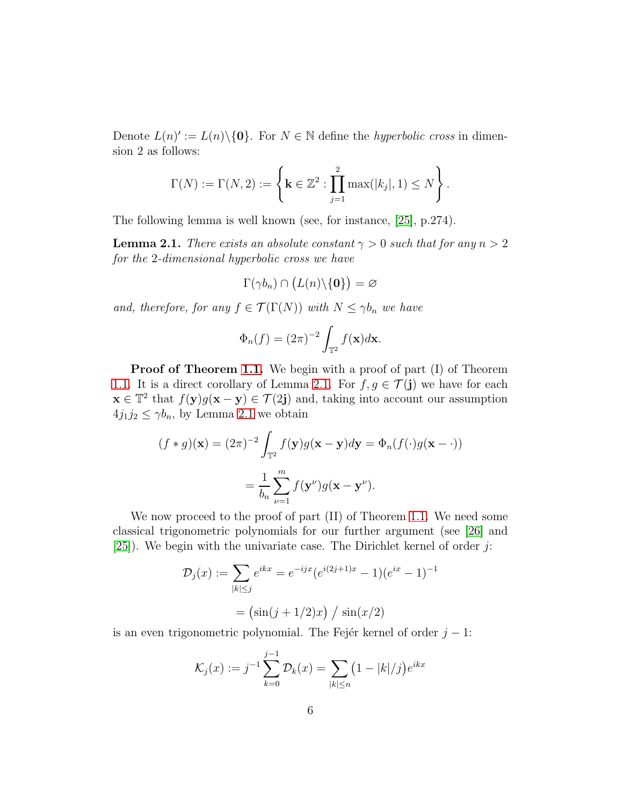Denote  $L(n)' := L(n) \setminus \{0\}$ . For  $N \in \mathbb{N}$  define the *hyperbolic cross* in dimension 2 as follows:

$$
\Gamma(N) := \Gamma(N, 2) := \left\{ \mathbf{k} \in \mathbb{Z}^2 : \prod_{j=1}^2 \max(|k_j|, 1) \le N \right\}.
$$

The following lemma is well known (see, for instance, [\[25\]](#page-25-0), p.274).

<span id="page-5-0"></span>**Lemma 2.1.** *There exists an absolute constant*  $\gamma > 0$  *such that for any*  $n > 2$ *for the* 2*-dimensional hyperbolic cross we have*

$$
\Gamma(\gamma b_n) \cap (L(n) \backslash \{0\}) = \varnothing
$$

*and, therefore, for any*  $f \in \mathcal{T}(\Gamma(N))$  *with*  $N \leq \gamma b_n$  *we have* 

$$
\Phi_n(f) = (2\pi)^{-2} \int_{\mathbb{T}^2} f(\mathbf{x}) d\mathbf{x}.
$$

**Proof of Theorem [1.1.](#page-3-0)** We begin with a proof of part (I) of Theorem [1.1.](#page-3-0) It is a direct corollary of Lemma [2.1.](#page-5-0) For  $f, g \in \mathcal{T}(\mathbf{j})$  we have for each  $\mathbf{x} \in \mathbb{T}^2$  that  $f(\mathbf{y})g(\mathbf{x}-\mathbf{y}) \in \mathcal{T}(2\mathbf{j})$  and, taking into account our assumption  $4j_1j_2 \leq \gamma b_n$ , by Lemma [2.1](#page-5-0) we obtain

$$
(f * g)(\mathbf{x}) = (2\pi)^{-2} \int_{\mathbb{T}^2} f(\mathbf{y}) g(\mathbf{x} - \mathbf{y}) d\mathbf{y} = \Phi_n(f(\cdot)g(\mathbf{x} - \cdot))
$$

$$
= \frac{1}{b_n} \sum_{\nu=1}^m f(\mathbf{y}^{\nu}) g(\mathbf{x} - \mathbf{y}^{\nu}).
$$

We now proceed to the proof of part (II) of Theorem [1.1.](#page-3-0) We need some classical trigonometric polynomials for our further argument (see [\[26\]](#page-25-1) and [\[25\]](#page-25-0)). We begin with the univariate case. The Dirichlet kernel of order  $j$ :

$$
\mathcal{D}_j(x) := \sum_{|k| \le j} e^{ikx} = e^{-ijx} (e^{i(2j+1)x} - 1)(e^{ix} - 1)^{-1}
$$

$$
= (\sin(j+1/2)x) / \sin(x/2)
$$

is an even trigonometric polynomial. The Fejer kernel of order  $j - 1$ :

$$
\mathcal{K}_j(x) := j^{-1} \sum_{k=0}^{j-1} \mathcal{D}_k(x) = \sum_{|k| \le n} \left(1 - |k|/j\right) e^{ikx}
$$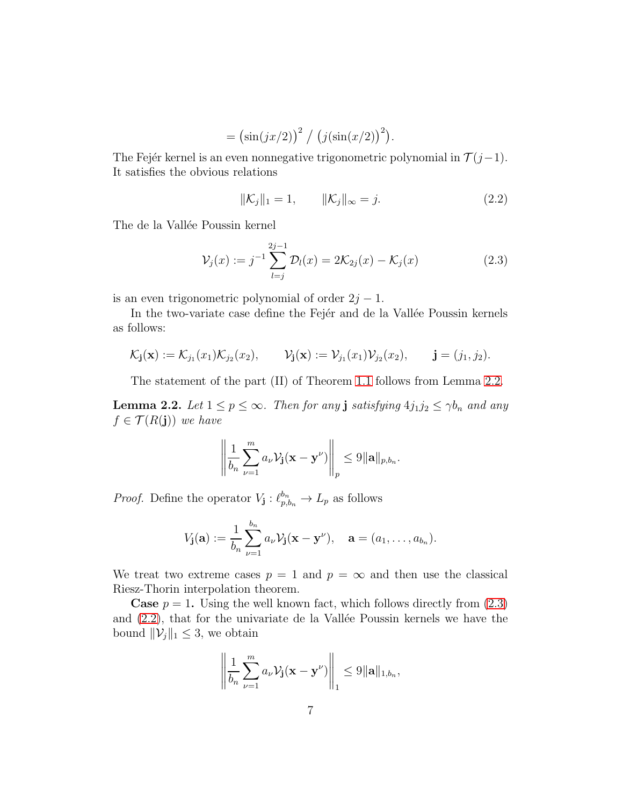$$
= (\sin(jx/2))^{2} / (j(\sin(x/2))^{2}).
$$

The Fejér kernel is an even nonnegative trigonometric polynomial in  $\mathcal{T}(j-1)$ . It satisfies the obvious relations

<span id="page-6-2"></span>
$$
\|\mathcal{K}_j\|_1 = 1, \qquad \|\mathcal{K}_j\|_{\infty} = j. \tag{2.2}
$$

The de la Vallée Poussin kernel

<span id="page-6-1"></span>
$$
\mathcal{V}_j(x) := j^{-1} \sum_{l=j}^{2j-1} \mathcal{D}_l(x) = 2\mathcal{K}_{2j}(x) - \mathcal{K}_j(x)
$$
 (2.3)

is an even trigonometric polynomial of order  $2j - 1$ .

In the two-variate case define the Fejer and de la Vallée Poussin kernels as follows:

$$
\mathcal{K}_{\mathbf{j}}(\mathbf{x}) := \mathcal{K}_{j_1}(x_1)\mathcal{K}_{j_2}(x_2), \qquad \mathcal{V}_{\mathbf{j}}(\mathbf{x}) := \mathcal{V}_{j_1}(x_1)\mathcal{V}_{j_2}(x_2), \qquad \mathbf{j} = (j_1, j_2).
$$

The statement of the part (II) of Theorem [1.1](#page-3-0) follows from Lemma [2.2.](#page-6-0)

<span id="page-6-0"></span>**Lemma 2.2.** *Let*  $1 \leq p \leq \infty$ *. Then for any* **j** *satisfying*  $4j_1j_2 \leq \gamma b_n$  *and any*  $f \in \mathcal{T}(R(j))$  *we have* 

$$
\left\|\frac{1}{b_n}\sum_{\nu=1}^m a_\nu \mathcal{V}_{\mathbf{j}}(\mathbf{x}-\mathbf{y}^\nu)\right\|_p \leq 9\|\mathbf{a}\|_{p,b_n}.
$$

*Proof.* Define the operator  $V_{\mathbf{j}}: \ell_{p,b_n}^{b_n} \to L_p$  as follows

$$
V_{\mathbf{j}}(\mathbf{a}) := \frac{1}{b_n} \sum_{\nu=1}^{b_n} a_{\nu} \mathcal{V}_{\mathbf{j}}(\mathbf{x} - \mathbf{y}^{\nu}), \quad \mathbf{a} = (a_1, \dots, a_{b_n}).
$$

We treat two extreme cases  $p = 1$  and  $p = \infty$  and then use the classical Riesz-Thorin interpolation theorem.

**Case**  $p = 1$ . Using the well known fact, which follows directly from  $(2.3)$ and  $(2.2)$ , that for the univariate de la Vallée Poussin kernels we have the bound  $\|\mathcal{V}_j\|_1 \leq 3$ , we obtain

$$
\left\|\frac{1}{b_n}\sum_{\nu=1}^m a_\nu\mathcal{V}_{\mathbf{j}}(\mathbf{x}-\mathbf{y}^\nu)\right\|_1\leq 9\|\mathbf{a}\|_{1,b_n},\,
$$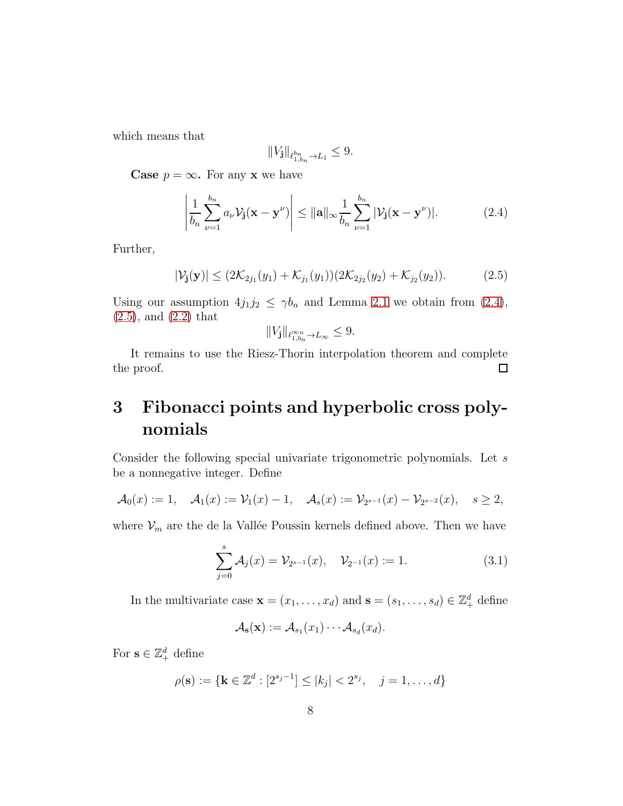which means that

$$
\|V_{\mathbf j}\|_{\ell^{b_n}_{1,b_n}\to L_1}\leq 9.
$$

**Case**  $p = \infty$ . For any **x** we have

<span id="page-7-1"></span>
$$
\left|\frac{1}{b_n}\sum_{\nu=1}^{b_n} a_\nu \mathcal{V}_\mathbf{j}(\mathbf{x}-\mathbf{y}^\nu)\right| \leq \|\mathbf{a}\|_\infty \frac{1}{b_n}\sum_{\nu=1}^{b_n} |\mathcal{V}_\mathbf{j}(\mathbf{x}-\mathbf{y}^\nu)|. \tag{2.4}
$$

Further,

<span id="page-7-2"></span>
$$
|\mathcal{V}_{\mathbf{j}}(\mathbf{y})| \leq (2\mathcal{K}_{2j_1}(y_1) + \mathcal{K}_{j_1}(y_1))(2\mathcal{K}_{2j_2}(y_2) + \mathcal{K}_{j_2}(y_2)).
$$
 (2.5)

Using our assumption  $4j_1j_2 \leq \gamma b_n$  and Lemma [2.1](#page-5-0) we obtain from [\(2.4\)](#page-7-1), [\(2.5\)](#page-7-2), and [\(2.2\)](#page-6-2) that

$$
||V_{\mathbf{j}}||_{\ell^{\infty n}_{1,b_n}\to L_{\infty}} \leq 9.
$$

It remains to use the Riesz-Thorin interpolation theorem and complete the proof.  $\Box$ 

# <span id="page-7-0"></span>3 Fibonacci points and hyperbolic cross polynomials

Consider the following special univariate trigonometric polynomials. Let s be a nonnegative integer. Define

$$
\mathcal{A}_0(x) := 1, \quad \mathcal{A}_1(x) := \mathcal{V}_1(x) - 1, \quad \mathcal{A}_s(x) := \mathcal{V}_{2^{s-1}}(x) - \mathcal{V}_{2^{s-2}}(x), \quad s \ge 2,
$$

where  $\mathcal{V}_m$  are the de la Vallée Poussin kernels defined above. Then we have

<span id="page-7-3"></span>
$$
\sum_{j=0}^{s} \mathcal{A}_{j}(x) = \mathcal{V}_{2^{s-1}}(x), \quad \mathcal{V}_{2^{-1}}(x) := 1.
$$
 (3.1)

In the multivariate case  $\mathbf{x} = (x_1, \dots, x_d)$  and  $\mathbf{s} = (s_1, \dots, s_d) \in \mathbb{Z}_+^d$  define

$$
\mathcal{A}_{\mathbf{s}}(\mathbf{x}) := \mathcal{A}_{s_1}(x_1) \cdots \mathcal{A}_{s_d}(x_d).
$$

For  $\mathbf{s} \in \mathbb{Z}_+^d$  define

$$
\rho(\mathbf{s}) := \{ \mathbf{k} \in \mathbb{Z}^d : [2^{s_j - 1}] \le |k_j| < 2^{s_j}, \quad j = 1, \dots, d \}
$$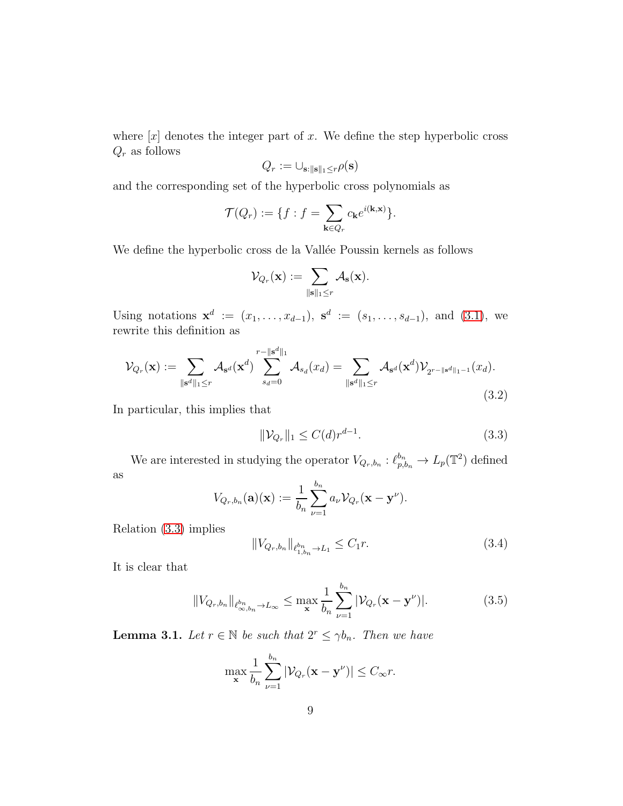where  $[x]$  denotes the integer part of x. We define the step hyperbolic cross  $\mathbb{Q}_r$  as follows

$$
Q_r := \cup_{\mathbf{s}:\|\mathbf{s}\|_1 \le r} \rho(\mathbf{s})
$$

and the corresponding set of the hyperbolic cross polynomials as

$$
\mathcal{T}(Q_r) := \{ f : f = \sum_{\mathbf{k} \in Q_r} c_{\mathbf{k}} e^{i(\mathbf{k}, \mathbf{x})} \}.
$$

We define the hyperbolic cross de la Vallée Poussin kernels as follows

$$
\mathcal{V}_{Q_r}(\mathbf{x}) := \sum_{\|\mathbf{s}\|_1 \leq r} \mathcal{A}_{\mathbf{s}}(\mathbf{x}).
$$

Using notations  $\mathbf{x}^d := (x_1, \ldots, x_{d-1}), \mathbf{s}^d := (s_1, \ldots, s_{d-1}), \text{ and } (3.1), \text{ we}$  $\mathbf{x}^d := (x_1, \ldots, x_{d-1}), \mathbf{s}^d := (s_1, \ldots, s_{d-1}), \text{ and } (3.1), \text{ we}$  $\mathbf{x}^d := (x_1, \ldots, x_{d-1}), \mathbf{s}^d := (s_1, \ldots, s_{d-1}), \text{ and } (3.1), \text{ we}$ rewrite this definition as

<span id="page-8-1"></span>
$$
\mathcal{V}_{Q_r}(\mathbf{x}) := \sum_{\|\mathbf{s}^d\|_1 \le r} \mathcal{A}_{\mathbf{s}^d}(\mathbf{x}^d) \sum_{s_d=0}^{r - \|\mathbf{s}^d\|_1} \mathcal{A}_{s_d}(x_d) = \sum_{\|\mathbf{s}^d\|_1 \le r} \mathcal{A}_{\mathbf{s}^d}(\mathbf{x}^d) \mathcal{V}_{2^{r - \|\mathbf{s}^d\|_1 - 1}}(x_d).
$$
\n(3.2)

In particular, this implies that

<span id="page-8-0"></span>
$$
\|\mathcal{V}_{Q_r}\|_1 \le C(d)r^{d-1}.\tag{3.3}
$$

We are interested in studying the operator  $V_{Q_r,b_n}: \ell_{p,b_n}^{b_n} \to L_p(\mathbb{T}^2)$  defined as

$$
V_{Q_r,b_n}(\mathbf{a})(\mathbf{x}) := \frac{1}{b_n} \sum_{\nu=1}^{b_n} a_{\nu} \mathcal{V}_{Q_r}(\mathbf{x} - \mathbf{y}^{\nu}).
$$

Relation [\(3.3\)](#page-8-0) implies

<span id="page-8-3"></span>
$$
||V_{Q_r,b_n}||_{\ell_{1,b_n}^{b_n} \to L_1} \leq C_1 r.
$$
\n(3.4)

It is clear that

<span id="page-8-4"></span>
$$
||V_{Q_r,b_n}||_{\ell^{b_n}_{\infty,b_n}\to L_{\infty}} \leq \max_{\mathbf{x}} \frac{1}{b_n} \sum_{\nu=1}^{b_n} |\mathcal{V}_{Q_r}(\mathbf{x}-\mathbf{y}^{\nu})|.
$$
 (3.5)

<span id="page-8-2"></span>**Lemma 3.1.** Let  $r \in \mathbb{N}$  be such that  $2^r \leq \gamma b_n$ . Then we have

$$
\max_{\mathbf{x}} \frac{1}{b_n} \sum_{\nu=1}^{b_n} |\mathcal{V}_{Q_r}(\mathbf{x} - \mathbf{y}^{\nu})| \le C_{\infty} r.
$$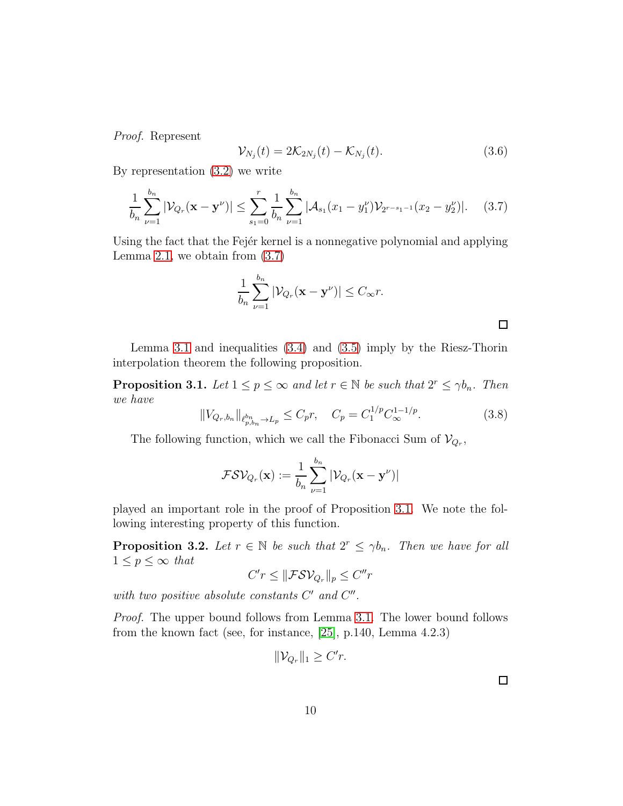*Proof.* Represent

<span id="page-9-3"></span>
$$
\mathcal{V}_{N_j}(t) = 2\mathcal{K}_{2N_j}(t) - \mathcal{K}_{N_j}(t). \tag{3.6}
$$

By representation [\(3.2\)](#page-8-1) we write

<span id="page-9-0"></span>
$$
\frac{1}{b_n} \sum_{\nu=1}^{b_n} |\mathcal{V}_{Q_r}(\mathbf{x} - \mathbf{y}^{\nu})| \le \sum_{s_1=0}^r \frac{1}{b_n} \sum_{\nu=1}^{b_n} |\mathcal{A}_{s_1}(x_1 - y_1^{\nu}) \mathcal{V}_{2^{r-s_1-1}}(x_2 - y_2^{\nu})|.
$$
 (3.7)

Using the fact that the Fejer kernel is a nonnegative polynomial and applying Lemma [2.1,](#page-5-0) we obtain from  $(3.7)$ 

$$
\frac{1}{b_n} \sum_{\nu=1}^{b_n} |\mathcal{V}_{Q_r}(\mathbf{x} - \mathbf{y}^{\nu})| \le C_{\infty} r.
$$

Lemma [3.1](#page-8-2) and inequalities [\(3.4\)](#page-8-3) and [\(3.5\)](#page-8-4) imply by the Riesz-Thorin interpolation theorem the following proposition.

<span id="page-9-1"></span>**Proposition 3.1.** *Let*  $1 \leq p \leq \infty$  *and let*  $r \in \mathbb{N}$  *be such that*  $2^r \leq \gamma b_n$ *. Then we have*

<span id="page-9-2"></span>
$$
||V_{Q_r,b_n}||_{\ell_{p,b_n}^{b_n} \to L_p} \le C_p r, \quad C_p = C_1^{1/p} C_{\infty}^{1-1/p}.
$$
\n(3.8)

The following function, which we call the Fibonacci Sum of  $\mathcal{V}_{Q_r}$ ,

$$
\mathcal{FSV}_{Q_r}(\mathbf{x}) := \frac{1}{b_n} \sum_{\nu=1}^{b_n} |\mathcal{V}_{Q_r}(\mathbf{x} - \mathbf{y}^{\nu})|
$$

played an important role in the proof of Proposition [3.1.](#page-9-1) We note the following interesting property of this function.

**Proposition 3.2.** Let  $r \in \mathbb{N}$  be such that  $2^r \leq \gamma b_n$ . Then we have for all  $1 \leq p \leq \infty$  *that* 

$$
C'r \leq \|\mathcal{FSV}_{Q_r}\|_p \leq C''r
$$

with two positive absolute constants  $C'$  and  $C''$ .

*Proof.* The upper bound follows from Lemma [3.1.](#page-8-2) The lower bound follows from the known fact (see, for instance, [\[25\]](#page-25-0), p.140, Lemma 4.2.3)

$$
\|\mathcal{V}_{Q_r}\|_1 \ge C'r.
$$

 $\Box$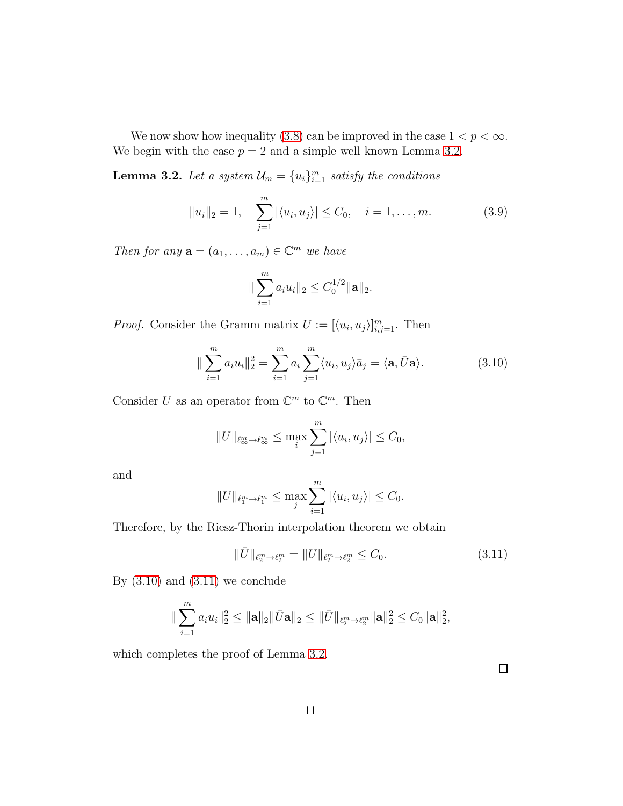We now show how inequality [\(3.8\)](#page-9-2) can be improved in the case  $1 < p < \infty$ . We begin with the case  $p = 2$  and a simple well known Lemma [3.2.](#page-10-0)

<span id="page-10-0"></span>**Lemma 3.2.** Let a system  $\mathcal{U}_m = \{u_i\}_{i=1}^m$  satisfy the conditions

<span id="page-10-3"></span>
$$
||u_i||_2 = 1, \quad \sum_{j=1}^{m} |\langle u_i, u_j \rangle| \le C_0, \quad i = 1, \dots, m.
$$
 (3.9)

*Then for any*  $\mathbf{a} = (a_1, \ldots, a_m) \in \mathbb{C}^m$  *we have* 

$$
\|\sum_{i=1}^m a_i u_i\|_2 \leq C_0^{1/2} \|\mathbf{a}\|_2.
$$

*Proof.* Consider the Gramm matrix  $U := [\langle u_i, u_j \rangle]_{i,j=1}^m$ . Then

<span id="page-10-1"></span>
$$
\|\sum_{i=1}^{m} a_i u_i\|_2^2 = \sum_{i=1}^{m} a_i \sum_{j=1}^{m} \langle u_i, u_j \rangle \bar{a}_j = \langle \mathbf{a}, \bar{U} \mathbf{a} \rangle.
$$
 (3.10)

Consider U as an operator from  $\mathbb{C}^m$  to  $\mathbb{C}^m$ . Then

$$
||U||_{\ell_{\infty}^m \to \ell_{\infty}^m} \leq \max_{i} \sum_{j=1}^m |\langle u_i, u_j \rangle| \leq C_0,
$$

and

$$
||U||_{\ell_1^m \to \ell_1^m} \le \max_j \sum_{i=1}^m |\langle u_i, u_j \rangle| \le C_0.
$$

Therefore, by the Riesz-Thorin interpolation theorem we obtain

<span id="page-10-2"></span>
$$
\|\bar{U}\|_{\ell_2^m \to \ell_2^m} = \|U\|_{\ell_2^m \to \ell_2^m} \le C_0. \tag{3.11}
$$

By  $(3.10)$  and  $(3.11)$  we conclude

$$
\|\sum_{i=1}^m a_i u_i\|_2^2 \leq \|\mathbf{a}\|_2 \|\bar{U}\mathbf{a}\|_2 \leq \|\bar{U}\|_{\ell_2^m \to \ell_2^m} \|\mathbf{a}\|_2^2 \leq C_0 \|\mathbf{a}\|_2^2,
$$

which completes the proof of Lemma [3.2.](#page-10-0)

 $\Box$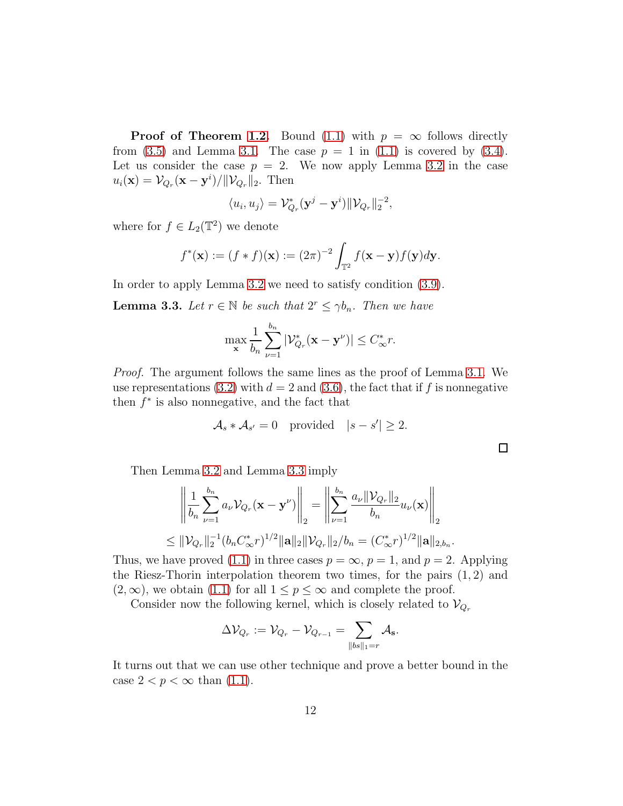**Proof of Theorem [1.2.](#page-3-1)** Bound [\(1.1\)](#page-3-3) with  $p = \infty$  follows directly from  $(3.5)$  and Lemma [3.1.](#page-8-2) The case  $p = 1$  in  $(1.1)$  is covered by  $(3.4)$ . Let us consider the case  $p = 2$ . We now apply Lemma [3.2](#page-10-0) in the case  $u_i(\mathbf{x}) = \mathcal{V}_{Q_r}(\mathbf{x} - \mathbf{y}^i) / ||\mathcal{V}_{Q_r}||_2$ . Then

$$
\langle u_i, u_j \rangle = \mathcal{V}_{Q_r}^* (\mathbf{y}^j - \mathbf{y}^i) \| \mathcal{V}_{Q_r} \|_2^{-2},
$$

where for  $f \in L_2(\mathbb{T}^2)$  we denote

$$
f^*(\mathbf{x}) := (f * f)(\mathbf{x}) := (2\pi)^{-2} \int_{\mathbb{T}^2} f(\mathbf{x} - \mathbf{y}) f(\mathbf{y}) d\mathbf{y}.
$$

In order to apply Lemma [3.2](#page-10-0) we need to satisfy condition [\(3.9\)](#page-10-3).

<span id="page-11-0"></span>**Lemma 3.3.** Let  $r \in \mathbb{N}$  be such that  $2^r \leq \gamma b_n$ . Then we have

$$
\max_{\mathbf{x}} \frac{1}{b_n} \sum_{\nu=1}^{b_n} |\mathcal{V}_{Q_r}^*(\mathbf{x} - \mathbf{y}^{\nu})| \le C_{\infty}^* r.
$$

*Proof.* The argument follows the same lines as the proof of Lemma [3.1.](#page-8-2) We use representations [\(3.2\)](#page-8-1) with  $d = 2$  and [\(3.6\)](#page-9-3), the fact that if f is nonnegative then  $f^*$  is also nonnegative, and the fact that

$$
\mathcal{A}_s * \mathcal{A}_{s'} = 0 \quad \text{provided} \quad |s - s'| \geq 2.
$$

Then Lemma [3.2](#page-10-0) and Lemma [3.3](#page-11-0) imply

$$
\left\| \frac{1}{b_n} \sum_{\nu=1}^{b_n} a_{\nu} \mathcal{V}_{Q_r}(\mathbf{x} - \mathbf{y}^{\nu}) \right\|_2 = \left\| \sum_{\nu=1}^{b_n} \frac{a_{\nu} \|\mathcal{V}_{Q_r}\|_2}{b_n} u_{\nu}(\mathbf{x}) \right\|_2
$$
  
\$\leq \|\mathcal{V}\_{Q\_r}\|\_2^{-1} (b\_n C^\*\_{\infty} r)^{1/2} \|\mathbf{a}\|\_2 \|\mathcal{V}\_{Q\_r}\|\_2 / b\_n = (C^\*\_{\infty} r)^{1/2} \|\mathbf{a}\|\_{2, b\_n}\$

.

 $\Box$ 

Thus, we have proved [\(1.1\)](#page-3-3) in three cases  $p = \infty$ ,  $p = 1$ , and  $p = 2$ . Applying the Riesz-Thorin interpolation theorem two times, for the pairs  $(1, 2)$  and  $(2,\infty)$ , we obtain  $(1.1)$  for all  $1 \leq p \leq \infty$  and complete the proof.

Consider now the following kernel, which is closely related to  $\mathcal{V}_{Q_r}$ 

$$
\Delta \mathcal{V}_{Q_r}:=\mathcal{V}_{Q_r}-\mathcal{V}_{Q_{r-1}}=\sum_{\|bs\|_1=r}\mathcal{A}_{\mathbf{s}}.
$$

It turns out that we can use other technique and prove a better bound in the case  $2 < p < \infty$  than  $(1.1)$ .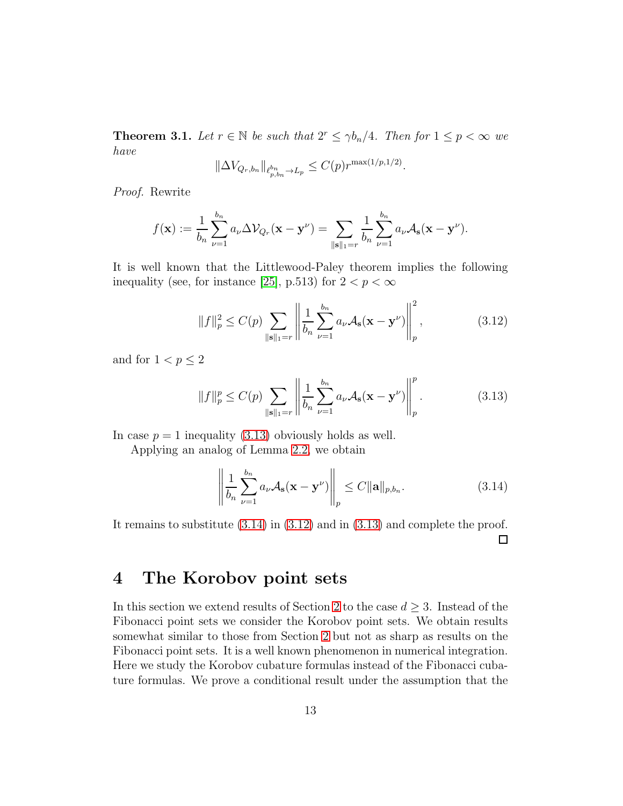**Theorem 3.1.** *Let*  $r \in \mathbb{N}$  *be such that*  $2^r \le \gamma b_n/4$ *. Then for*  $1 \le p < \infty$  *we have*

$$
\|\Delta V_{Q_r,b_n}\|_{\ell_{p,b_n}^{b_n} \to L_p} \le C(p)r^{\max(1/p,1/2)}.
$$

*Proof.* Rewrite

$$
f(\mathbf{x}) := \frac{1}{b_n} \sum_{\nu=1}^{b_n} a_\nu \Delta \mathcal{V}_{Q_r}(\mathbf{x} - \mathbf{y}^\nu) = \sum_{\|\mathbf{s}\|_1 = r} \frac{1}{b_n} \sum_{\nu=1}^{b_n} a_\nu \mathcal{A}_\mathbf{s}(\mathbf{x} - \mathbf{y}^\nu).
$$

It is well known that the Littlewood-Paley theorem implies the following inequality (see, for instance [\[25\]](#page-25-0), p.513) for  $2 < p < \infty$ 

<span id="page-12-3"></span>
$$
||f||_{p}^{2} \le C(p) \sum_{\|\mathbf{s}\|_{1}=r} \left\| \frac{1}{b_{n}} \sum_{\nu=1}^{b_{n}} a_{\nu} \mathcal{A}_{\mathbf{s}}(\mathbf{x} - \mathbf{y}^{\nu}) \right\|_{p}^{2}, \qquad (3.12)
$$

and for  $1 < p \leq 2$ 

<span id="page-12-1"></span>
$$
||f||_p^p \le C(p) \sum_{\|\mathbf{s}\|_1 = r} \left\| \frac{1}{b_n} \sum_{\nu=1}^{b_n} a_{\nu} \mathcal{A}_{\mathbf{s}}(\mathbf{x} - \mathbf{y}^{\nu}) \right\|_p^p.
$$
 (3.13)

In case  $p = 1$  inequality [\(3.13\)](#page-12-1) obviously holds as well.

Applying an analog of Lemma [2.2,](#page-6-0) we obtain

<span id="page-12-2"></span>
$$
\left\| \frac{1}{b_n} \sum_{\nu=1}^{b_n} a_{\nu} \mathcal{A}_{\mathbf{s}}(\mathbf{x} - \mathbf{y}^{\nu}) \right\|_p \le C \|\mathbf{a}\|_{p, b_n}.
$$
 (3.14)

It remains to substitute [\(3.14\)](#page-12-2) in [\(3.12\)](#page-12-3) and in [\(3.13\)](#page-12-1) and complete the proof. □

## <span id="page-12-0"></span>4 The Korobov point sets

In this section we extend results of Section [2](#page-4-0) to the case  $d \geq 3$ . Instead of the Fibonacci point sets we consider the Korobov point sets. We obtain results somewhat similar to those from Section [2](#page-4-0) but not as sharp as results on the Fibonacci point sets. It is a well known phenomenon in numerical integration. Here we study the Korobov cubature formulas instead of the Fibonacci cubature formulas. We prove a conditional result under the assumption that the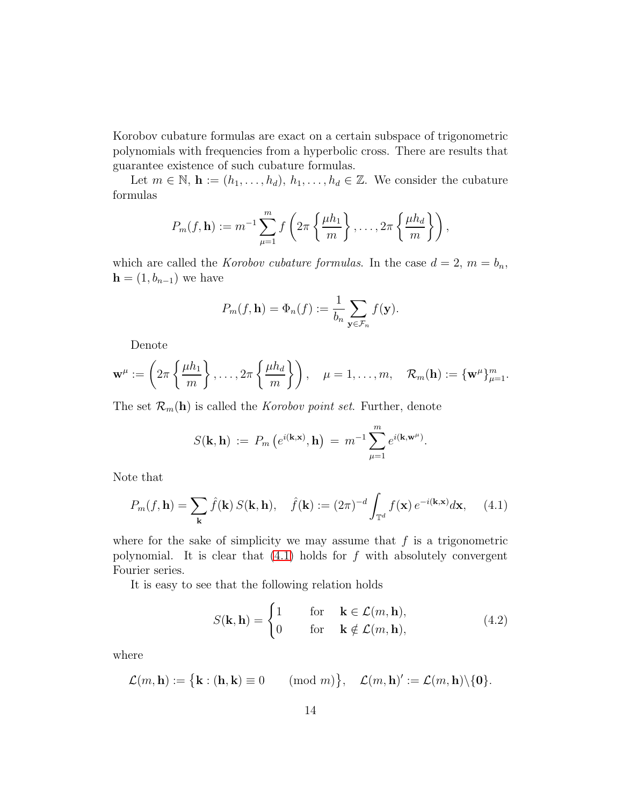Korobov cubature formulas are exact on a certain subspace of trigonometric polynomials with frequencies from a hyperbolic cross. There are results that guarantee existence of such cubature formulas.

Let  $m \in \mathbb{N}$ ,  $\mathbf{h} := (h_1, \ldots, h_d), h_1, \ldots, h_d \in \mathbb{Z}$ . We consider the cubature formulas

$$
P_m(f, \mathbf{h}) := m^{-1} \sum_{\mu=1}^m f\left(2\pi \left\{\frac{\mu h_1}{m}\right\}, \ldots, 2\pi \left\{\frac{\mu h_d}{m}\right\}\right),
$$

which are called the *Korobov cubature formulas*. In the case  $d = 2$ ,  $m = b_n$ ,  $\mathbf{h} = (1, b_{n-1})$  we have

$$
P_m(f, \mathbf{h}) = \Phi_n(f) := \frac{1}{b_n} \sum_{\mathbf{y} \in \mathcal{F}_n} f(\mathbf{y}).
$$

Denote

$$
\mathbf{w}^{\mu} := \left(2\pi \left\{\frac{\mu h_1}{m}\right\}, \ldots, 2\pi \left\{\frac{\mu h_d}{m}\right\}\right), \quad \mu = 1, \ldots, m, \quad \mathcal{R}_m(\mathbf{h}) := \{\mathbf{w}^{\mu}\}_{\mu=1}^m.
$$

The set  $\mathcal{R}_m(\mathbf{h})$  is called the *Korobov point set*. Further, denote

$$
S(\mathbf{k}, \mathbf{h}) := P_m(e^{i(\mathbf{k}, \mathbf{x})}, \mathbf{h}) = m^{-1} \sum_{\mu=1}^m e^{i(\mathbf{k}, \mathbf{w}^{\mu})}.
$$

Note that

<span id="page-13-0"></span>
$$
P_m(f, \mathbf{h}) = \sum_{\mathbf{k}} \hat{f}(\mathbf{k}) S(\mathbf{k}, \mathbf{h}), \quad \hat{f}(\mathbf{k}) := (2\pi)^{-d} \int_{\mathbb{T}^d} f(\mathbf{x}) e^{-i(\mathbf{k}, \mathbf{x})} d\mathbf{x}, \quad (4.1)
$$

where for the sake of simplicity we may assume that  $f$  is a trigonometric polynomial. It is clear that  $(4.1)$  holds for f with absolutely convergent Fourier series.

It is easy to see that the following relation holds

$$
S(\mathbf{k}, \mathbf{h}) = \begin{cases} 1 & \text{for } \mathbf{k} \in \mathcal{L}(m, \mathbf{h}), \\ 0 & \text{for } \mathbf{k} \notin \mathcal{L}(m, \mathbf{h}), \end{cases}
$$
(4.2)

where

$$
\mathcal{L}(m,\mathbf{h}) := \big\{\mathbf{k} : (\mathbf{h},\mathbf{k}) \equiv 0 \quad (\text{mod } m)\big\}, \quad \mathcal{L}(m,\mathbf{h})' := \mathcal{L}(m,\mathbf{h})\setminus\{\mathbf{0}\}.
$$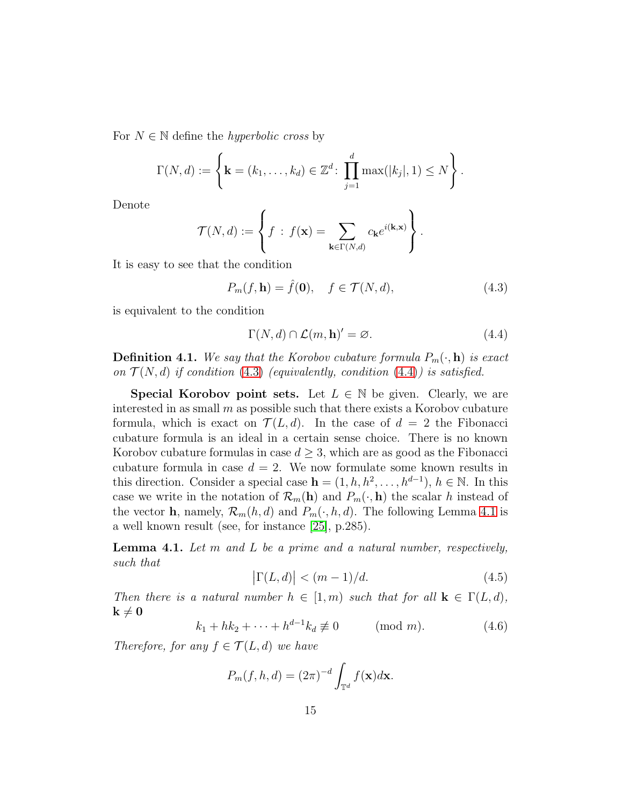For N ∈ N define the *hyperbolic cross* by

$$
\Gamma(N, d) := \left\{ \mathbf{k} = (k_1, ..., k_d) \in \mathbb{Z}^d : \prod_{j=1}^d \max(|k_j|, 1) \le N \right\}.
$$

Denote

$$
\mathcal{T}(N,d) := \left\{ f : f(\mathbf{x}) = \sum_{\mathbf{k} \in \Gamma(N,d)} c_{\mathbf{k}} e^{i(\mathbf{k}, \mathbf{x})} \right\}.
$$

It is easy to see that the condition

<span id="page-14-0"></span>
$$
P_m(f, \mathbf{h}) = \hat{f}(\mathbf{0}), \quad f \in \mathcal{T}(N, d), \tag{4.3}
$$

is equivalent to the condition

<span id="page-14-1"></span>
$$
\Gamma(N, d) \cap \mathcal{L}(m, h)' = \varnothing. \tag{4.4}
$$

**Definition 4.1.** We say that the Korobov cubature formula  $P_m(\cdot, \mathbf{h})$  is exact *on*  $\mathcal{T}(N,d)$  *if condition* [\(4.3\)](#page-14-0) *(equivalently, condition* [\(4.4\)](#page-14-1)*) is satisfied.* 

**Special Korobov point sets.** Let  $L \in \mathbb{N}$  be given. Clearly, we are interested in as small  $m$  as possible such that there exists a Korobov cubature formula, which is exact on  $\mathcal{T}(L, d)$ . In the case of  $d = 2$  the Fibonacci cubature formula is an ideal in a certain sense choice. There is no known Korobov cubature formulas in case  $d \geq 3$ , which are as good as the Fibonacci cubature formula in case  $d = 2$ . We now formulate some known results in this direction. Consider a special case  $\mathbf{h} = (1, h, h^2, \dots, h^{d-1}), h \in \mathbb{N}$ . In this case we write in the notation of  $\mathcal{R}_m(\mathbf{h})$  and  $P_m(\cdot, \mathbf{h})$  the scalar h instead of the vector **h**, namely,  $\mathcal{R}_m(h, d)$  and  $P_m(\cdot, h, d)$ . The following Lemma [4.1](#page-14-2) is a well known result (see, for instance [\[25\]](#page-25-0), p.285).

<span id="page-14-2"></span>Lemma 4.1. *Let* m *and* L *be a prime and a natural number, respectively, such that*

<span id="page-14-3"></span>
$$
\left|\Gamma(L,d)\right| < (m-1)/d.\tag{4.5}
$$

*Then there is a natural number*  $h \in [1, m)$  *such that for all*  $\mathbf{k} \in \Gamma(L, d)$ *,*  $\mathbf{k}\neq \mathbf{0}$ 

$$
k_1 + hk_2 + \dots + h^{d-1}k_d \not\equiv 0
$$
 (mod *m*). (4.6)

*Therefore, for any*  $f \in \mathcal{T}(L, d)$  *we have* 

$$
P_m(f, h, d) = (2\pi)^{-d} \int_{\mathbb{T}^d} f(\mathbf{x}) d\mathbf{x}.
$$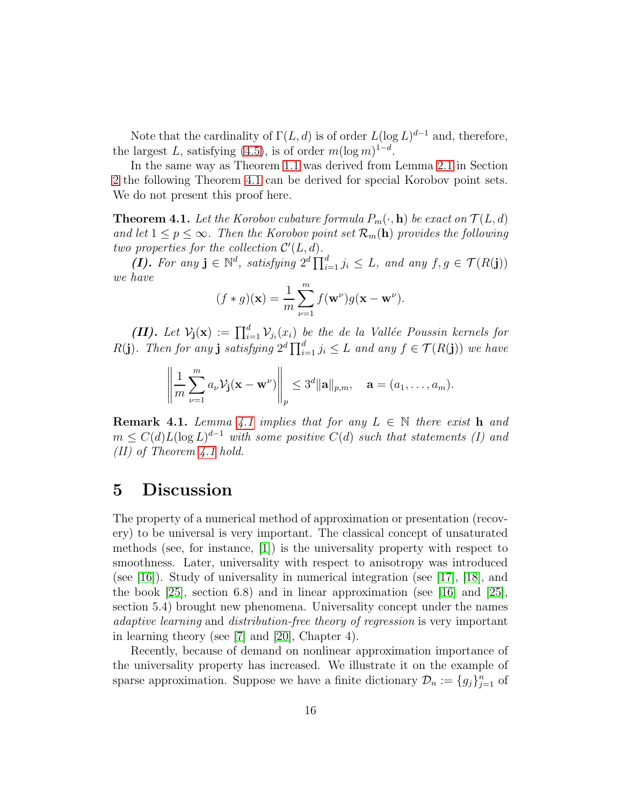Note that the cardinality of  $\Gamma(L, d)$  is of order  $L(\log L)^{d-1}$  and, therefore, the largest L, satisfying  $(4.5)$ , is of order  $m(\log m)^{1-d}$ .

In the same way as Theorem [1.1](#page-3-0) was derived from Lemma [2.1](#page-5-0) in Section [2](#page-4-0) the following Theorem [4.1](#page-15-1) can be derived for special Korobov point sets. We do not present this proof here.

<span id="page-15-1"></span>**Theorem 4.1.** Let the Korobov cubature formula  $P_m(\cdot, \mathbf{h})$  be exact on  $\mathcal{T}(L, d)$ and let  $1 \leq p \leq \infty$ . Then the Korobov point set  $\mathcal{R}_m(\mathbf{h})$  provides the following *two properties for the collection*  $\mathcal{C}'(L,d)$ *.* 

(*I*). For any  $\mathbf{j} \in \mathbb{N}^d$ , satisfying  $2^d \prod_{i=1}^d j_i \leq L$ , and any  $f, g \in \mathcal{T}(R(\mathbf{j}))$ *we have*

$$
(f * g)(\mathbf{x}) = \frac{1}{m} \sum_{\nu=1}^{m} f(\mathbf{w}^{\nu}) g(\mathbf{x} - \mathbf{w}^{\nu}).
$$

(II). Let  $V_j(\mathbf{x}) := \prod_{i=1}^d V_{j_i}(x_i)$  be the de la Vallée Poussin kernels for  $R(j)$ *. Then for any* j *satisfying*  $2^d \prod_{i=1}^d j_i \leq L$  *and any*  $f \in \mathcal{T}(R(j))$  *we have* 

$$
\left\|\frac{1}{m}\sum_{\nu=1}^m a_\nu \mathcal{V}_\mathbf{j}(\mathbf{x}-\mathbf{w}^\nu)\right\|_p \leq 3^d \|\mathbf{a}\|_{p,m}, \quad \mathbf{a}=(a_1,\ldots,a_m).
$$

**Remark [4.1](#page-14-2).** *Lemma 4.1 implies that for any*  $L \in \mathbb{N}$  *there exist* **h** and  $m \leq C(d)L(\log L)^{d-1}$  with some positive  $C(d)$  such that statements (I) and *(II) of Theorem [4.1](#page-15-1) hold.*

#### <span id="page-15-0"></span>5 Discussion

The property of a numerical method of approximation or presentation (recovery) to be universal is very important. The classical concept of unsaturated methods (see, for instance, [\[1\]](#page-22-0)) is the universality property with respect to smoothness. Later, universality with respect to anisotropy was introduced (see [\[16\]](#page-24-0)). Study of universality in numerical integration (see [\[17\]](#page-24-1), [\[18\]](#page-24-2), and the book [\[25\]](#page-25-0), section 6.8) and in linear approximation (see [\[16\]](#page-24-0) and [25], section 5.4) brought new phenomena. Universality concept under the names *adaptive learning* and *distribution-free theory of regression* is very important in learning theory (see [\[7\]](#page-23-0) and [\[20\]](#page-24-3), Chapter 4).

Recently, because of demand on nonlinear approximation importance of the universality property has increased. We illustrate it on the example of sparse approximation. Suppose we have a finite dictionary  $\mathcal{D}_n := \{g_j\}_{j=1}^n$  of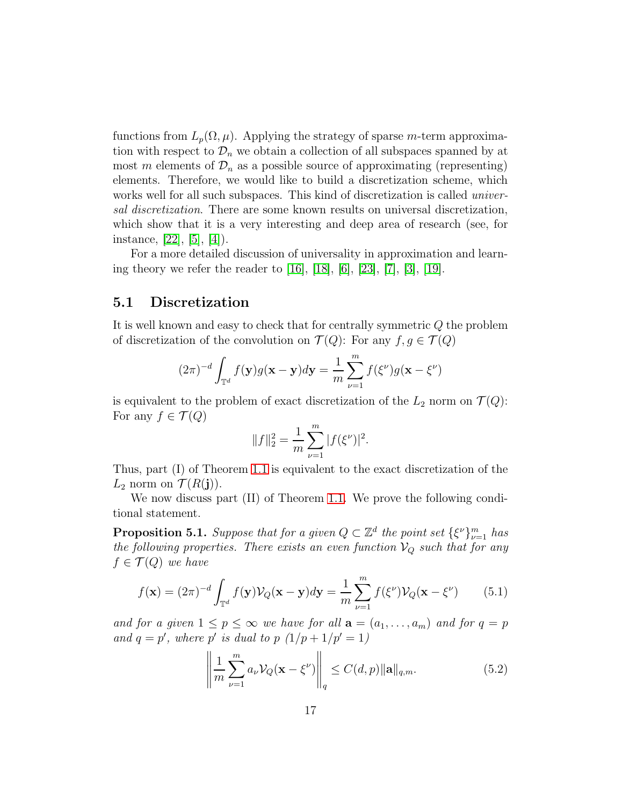functions from  $L_p(\Omega, \mu)$ . Applying the strategy of sparse m-term approximation with respect to  $\mathcal{D}_n$  we obtain a collection of all subspaces spanned by at most m elements of  $\mathcal{D}_n$  as a possible source of approximating (representing) elements. Therefore, we would like to build a discretization scheme, which works well for all such subspaces. This kind of discretization is called *universal discretization*. There are some known results on universal discretization, which show that it is a very interesting and deep area of research (see, for instance, [\[22\]](#page-24-4), [\[5\]](#page-23-1), [\[4\]](#page-23-2)).

For a more detailed discussion of universality in approximation and learning theory we refer the reader to [\[16\]](#page-24-0), [\[18\]](#page-24-2), [\[6\]](#page-23-3), [\[23\]](#page-24-5), [\[7\]](#page-23-0), [\[3\]](#page-22-1), [\[19\]](#page-24-6).

#### 5.1 Discretization

It is well known and easy to check that for centrally symmetric Q the problem of discretization of the convolution on  $\mathcal{T}(Q)$ : For any  $f, g \in \mathcal{T}(Q)$ 

$$
(2\pi)^{-d} \int_{\mathbb{T}^d} f(\mathbf{y}) g(\mathbf{x} - \mathbf{y}) d\mathbf{y} = \frac{1}{m} \sum_{\nu=1}^m f(\xi^{\nu}) g(\mathbf{x} - \xi^{\nu})
$$

is equivalent to the problem of exact discretization of the  $L_2$  norm on  $\mathcal{T}(Q)$ : For any  $f \in \mathcal{T}(Q)$ 

$$
||f||_2^2 = \frac{1}{m} \sum_{\nu=1}^m |f(\xi^{\nu})|^2.
$$

Thus, part (I) of Theorem [1.1](#page-3-0) is equivalent to the exact discretization of the  $L_2$  norm on  $\mathcal{T}(R(j))$ .

We now discuss part (II) of Theorem [1.1.](#page-3-0) We prove the following conditional statement.

**Proposition 5.1.** *Suppose that for a given*  $Q \subset \mathbb{Z}^d$  *the point set*  $\{\xi^{\nu}\}_{\nu=1}^m$  *has the following properties. There exists an even function*  $V_Q$  *such that for any*  $f \in \mathcal{T}(Q)$  *we have* 

<span id="page-16-1"></span>
$$
f(\mathbf{x}) = (2\pi)^{-d} \int_{\mathbb{T}^d} f(\mathbf{y}) \mathcal{V}_Q(\mathbf{x} - \mathbf{y}) d\mathbf{y} = \frac{1}{m} \sum_{\nu=1}^m f(\xi^{\nu}) \mathcal{V}_Q(\mathbf{x} - \xi^{\nu}) \tag{5.1}
$$

*and for a given*  $1 \leq p \leq \infty$  *we have for all*  $\mathbf{a} = (a_1, \ldots, a_m)$  *and for*  $q = p$ *and*  $q = p'$ *, where*  $p'$  *is dual to*  $p(1/p + 1/p' = 1)$ 

<span id="page-16-0"></span>
$$
\left\| \frac{1}{m} \sum_{\nu=1}^{m} a_{\nu} \mathcal{V}_Q(\mathbf{x} - \xi^{\nu}) \right\|_q \le C(d, p) \|\mathbf{a}\|_{q,m}.
$$
 (5.2)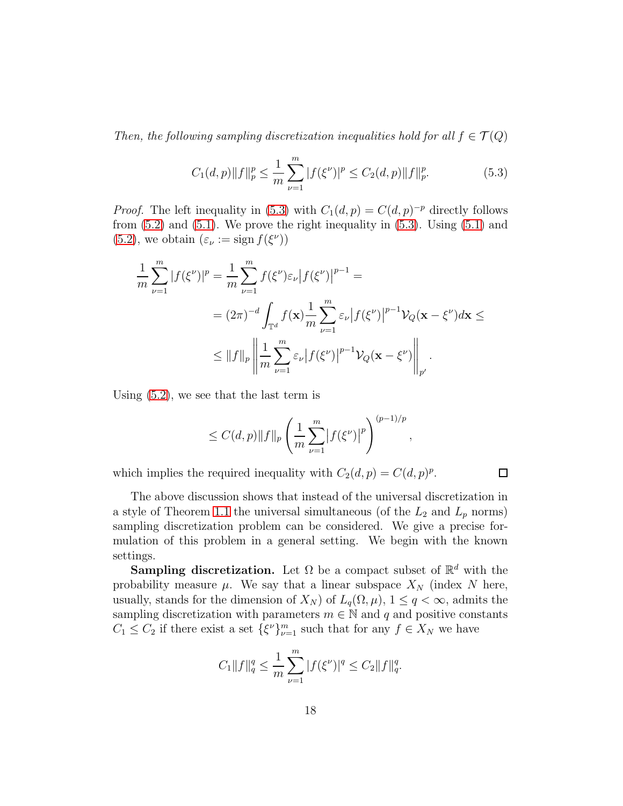*Then, the following sampling discretization inequalities hold for all*  $f \in \mathcal{T}(Q)$ 

<span id="page-17-0"></span>
$$
C_1(d,p)\|f\|_p^p \le \frac{1}{m}\sum_{\nu=1}^m |f(\xi^{\nu})|^p \le C_2(d,p)\|f\|_p^p. \tag{5.3}
$$

*Proof.* The left inequality in [\(5.3\)](#page-17-0) with  $C_1(d, p) = C(d, p)^{-p}$  directly follows from  $(5.2)$  and  $(5.1)$ . We prove the right inequality in  $(5.3)$ . Using  $(5.1)$  and [\(5.2\)](#page-16-0), we obtain  $(\varepsilon_{\nu} := \text{sign } f(\xi^{\nu}))$ 

$$
\frac{1}{m} \sum_{\nu=1}^{m} |f(\xi^{\nu})|^{p} = \frac{1}{m} \sum_{\nu=1}^{m} f(\xi^{\nu}) \varepsilon_{\nu} |f(\xi^{\nu})|^{p-1} =
$$
\n
$$
= (2\pi)^{-d} \int_{\mathbb{T}^{d}} f(\mathbf{x}) \frac{1}{m} \sum_{\nu=1}^{m} \varepsilon_{\nu} |f(\xi^{\nu})|^{p-1} \mathcal{V}_{Q}(\mathbf{x} - \xi^{\nu}) d\mathbf{x} \le
$$
\n
$$
\leq ||f||_{p} \left\| \frac{1}{m} \sum_{\nu=1}^{m} \varepsilon_{\nu} |f(\xi^{\nu})|^{p-1} \mathcal{V}_{Q}(\mathbf{x} - \xi^{\nu}) \right\|_{p'}.
$$

Using [\(5.2\)](#page-16-0), we see that the last term is

$$
\leq C(d,p) \|f\|_p \left(\frac{1}{m}\sum_{\nu=1}^m \left|f(\xi^{\nu})\right|^p\right)^{(p-1)/p},
$$

which implies the required inequality with  $C_2(d, p) = C(d, p)^p$ .

 $\Box$ 

The above discussion shows that instead of the universal discretization in a style of Theorem [1.1](#page-3-0) the universal simultaneous (of the  $L_2$  and  $L_p$  norms) sampling discretization problem can be considered. We give a precise formulation of this problem in a general setting. We begin with the known settings.

Sampling discretization. Let  $\Omega$  be a compact subset of  $\mathbb{R}^d$  with the probability measure  $\mu$ . We say that a linear subspace  $X_N$  (index N here, usually, stands for the dimension of  $X_N$ ) of  $L_q(\Omega, \mu)$ ,  $1 \leq q < \infty$ , admits the sampling discretization with parameters  $m \in \mathbb{N}$  and q and positive constants  $C_1 \leq C_2$  if there exist a set  $\{\xi^{\nu}\}_{\nu=1}^m$  such that for any  $f \in X_N$  we have

$$
C_1 \|f\|_q^q \le \frac{1}{m} \sum_{\nu=1}^m |f(\xi^{\nu})|^q \le C_2 \|f\|_q^q.
$$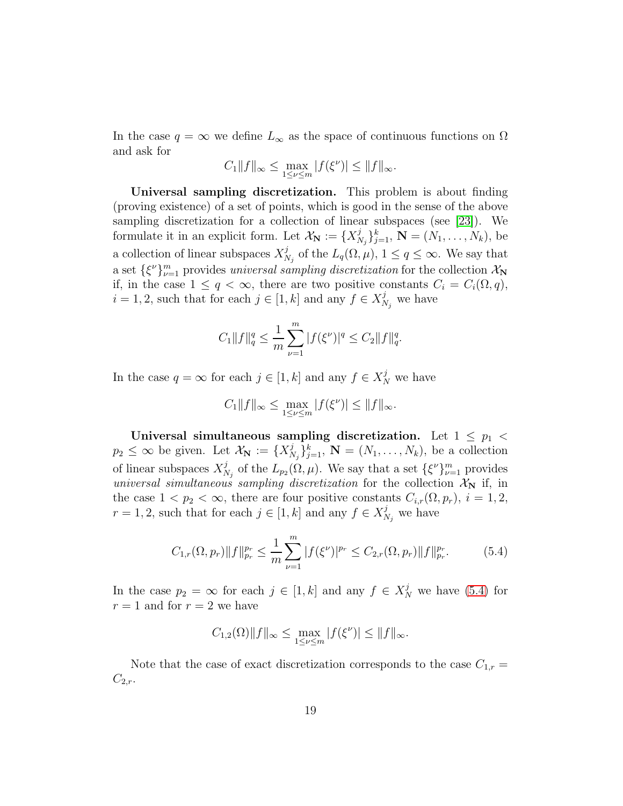In the case  $q = \infty$  we define  $L_{\infty}$  as the space of continuous functions on  $\Omega$ and ask for

$$
C_1||f||_{\infty} \leq \max_{1 \leq \nu \leq m} |f(\xi^{\nu})| \leq ||f||_{\infty}.
$$

Universal sampling discretization. This problem is about finding (proving existence) of a set of points, which is good in the sense of the above sampling discretization for a collection of linear subspaces (see [\[23\]](#page-24-5)). We formulate it in an explicit form. Let  $\mathcal{X}_{\mathbf{N}} := \{X_{N}^{j}$  $\{N_j\}_{j=1}^k$ ,  $\mathbf{N} = (N_1, \ldots, N_k)$ , be a collection of linear subspaces  $X^j_{\lambda}$  $_{N_j}^j$  of the  $L_q(\Omega, \mu)$ ,  $1 \le q \le \infty$ . We say that a set  $\{\xi^{\nu}\}_{\nu=1}^{m}$  provides *universal sampling discretization* for the collection  $\mathcal{X}_{N}$ if, in the case  $1 \leq q < \infty$ , there are two positive constants  $C_i = C_i(\Omega, q)$ ,  $i = 1, 2$ , such that for each  $j \in [1, k]$  and any  $f \in X_{\lambda}^{j}$  $\chi^j_{N_j}$  we have

$$
C_1 \|f\|_q^q \le \frac{1}{m} \sum_{\nu=1}^m |f(\xi^{\nu})|^q \le C_2 \|f\|_q^q.
$$

In the case  $q = \infty$  for each  $j \in [1, k]$  and any  $f \in X_N^j$  we have

$$
C_1||f||_{\infty} \le \max_{1 \le \nu \le m} |f(\xi^{\nu})| \le ||f||_{\infty}.
$$

Universal simultaneous sampling discretization. Let  $1 \leq p_1$  $p_2 \leq \infty$  be given. Let  $\mathcal{X}_{\mathbf{N}} := \{X^j_N\}$  $\{N_j\}_{j=1}^k$ ,  $\mathbf{N} = (N_1, \ldots, N_k)$ , be a collection of linear subspaces  $X_{\Lambda}^j$  $_{N_j}^j$  of the  $L_{p_2}(\Omega, \mu)$ . We say that a set  $\{\xi^{\nu}\}_{\nu=1}^m$  provides *universal simultaneous sampling discretization* for the collection  $\mathcal{X}_{N}$  if, in the case  $1 < p_2 < \infty$ , there are four positive constants  $C_{i,r}(\Omega, p_r)$ ,  $i = 1, 2$ ,  $r = 1, 2$ , such that for each  $j \in [1, k]$  and any  $f \in X_N^j$  $\chi^j_{N_j}$  we have

<span id="page-18-0"></span>
$$
C_{1,r}(\Omega, p_r) \|f\|_{p_r}^{p_r} \le \frac{1}{m} \sum_{\nu=1}^m |f(\xi^{\nu})|^{p_r} \le C_{2,r}(\Omega, p_r) \|f\|_{p_r}^{p_r}.
$$
 (5.4)

In the case  $p_2 = \infty$  for each  $j \in [1, k]$  and any  $f \in X_N^j$  we have [\(5.4\)](#page-18-0) for  $r = 1$  and for  $r = 2$  we have

$$
C_{1,2}(\Omega) ||f||_{\infty} \le \max_{1 \le \nu \le m} |f(\xi^{\nu})| \le ||f||_{\infty}.
$$

Note that the case of exact discretization corresponds to the case  $C_{1,r}$  =  $C_{2,r}.$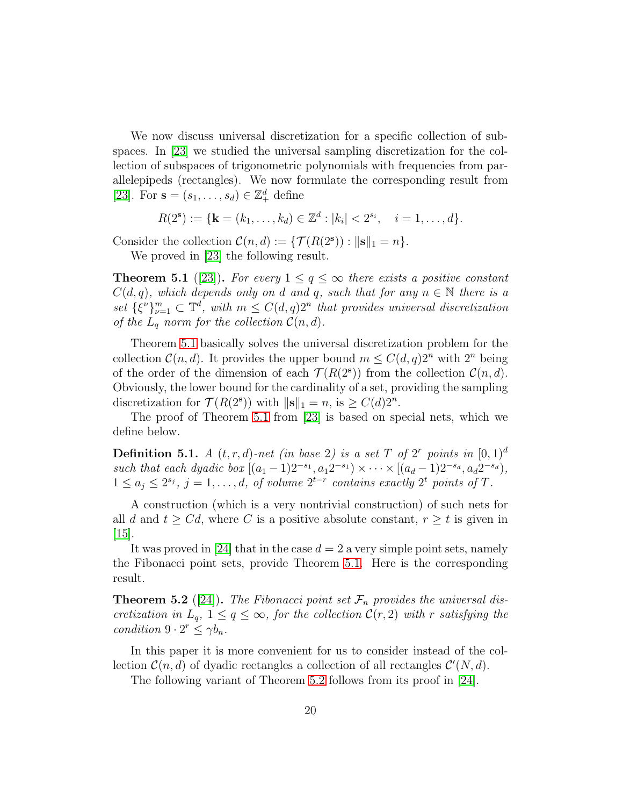We now discuss universal discretization for a specific collection of subspaces. In [\[23\]](#page-24-5) we studied the universal sampling discretization for the collection of subspaces of trigonometric polynomials with frequencies from parallelepipeds (rectangles). We now formulate the corresponding result from [\[23\]](#page-24-5). For  $\mathbf{s} = (s_1, \ldots, s_d) \in \mathbb{Z}_+^d$  define

$$
R(2^{\mathbf{s}}) := \{ \mathbf{k} = (k_1, \ldots, k_d) \in \mathbb{Z}^d : |k_i| < 2^{s_i}, \quad i = 1, \ldots, d \}.
$$

Consider the collection  $\mathcal{C}(n,d) := \{ \mathcal{T}(R(2^s)) : ||\mathbf{s}||_1 = n \}.$ 

We proved in [\[23\]](#page-24-5) the following result.

<span id="page-19-0"></span>**Theorem 5.1** ([\[23\]](#page-24-5)). For every  $1 \leq q \leq \infty$  there exists a positive constant  $C(d, q)$ *, which depends only on* d and q, such that for any  $n \in \mathbb{N}$  there is a set  $\{\xi^{\nu}\}_{\nu=1}^m \subset \mathbb{T}^d$ , with  $m \leq C(d, q)2^n$  that provides universal discretization *of the*  $L_q$  *norm for the collection*  $C(n, d)$ *.* 

Theorem [5.1](#page-19-0) basically solves the universal discretization problem for the collection  $\mathcal{C}(n, d)$ . It provides the upper bound  $m \leq C(d, q)2^n$  with  $2^n$  being of the order of the dimension of each  $\mathcal{T}(R(2^s))$  from the collection  $\mathcal{C}(n, d)$ . Obviously, the lower bound for the cardinality of a set, providing the sampling discretization for  $\mathcal{T}(R(2^s))$  with  $\|\mathbf{s}\|_1 = n$ , is  $\geq C(d)2^n$ .

The proof of Theorem [5.1](#page-19-0) from [\[23\]](#page-24-5) is based on special nets, which we define below.

**Definition 5.1.** *A*  $(t, r, d)$ -net (in base 2) is a set T of 2<sup>r</sup> points in  $[0, 1]^d$ such that each dyadic box  $[(a_1 - 1)2^{-s_1}, a_1 2^{-s_1}) \times \cdots \times [(a_d - 1)2^{-s_d}, a_d 2^{-s_d})$ ,  $1 \le a_j \le 2^{s_j}, j = 1, \ldots, d,$  of volume  $2^{t-r}$  contains exactly  $2^t$  points of T.

A construction (which is a very nontrivial construction) of such nets for all d and  $t \geq Cd$ , where C is a positive absolute constant,  $r \geq t$  is given in [\[15\]](#page-24-7).

It was proved in [\[24\]](#page-24-8) that in the case  $d = 2$  a very simple point sets, namely the Fibonacci point sets, provide Theorem [5.1.](#page-19-0) Here is the corresponding result.

<span id="page-19-1"></span>**Theorem 5.2** ([\[24\]](#page-24-8)). The Fibonacci point set  $\mathcal{F}_n$  provides the universal dis*cretization in*  $L_q$ ,  $1 \leq q \leq \infty$ , for the collection  $\mathcal{C}(r, 2)$  with r satisfying the *condition*  $9 \cdot 2^r \leq \gamma b_n$ *.* 

In this paper it is more convenient for us to consider instead of the collection  $\mathcal{C}(n, d)$  of dyadic rectangles a collection of all rectangles  $\mathcal{C}'(N, d)$ .

The following variant of Theorem [5.2](#page-19-1) follows from its proof in [\[24\]](#page-24-8).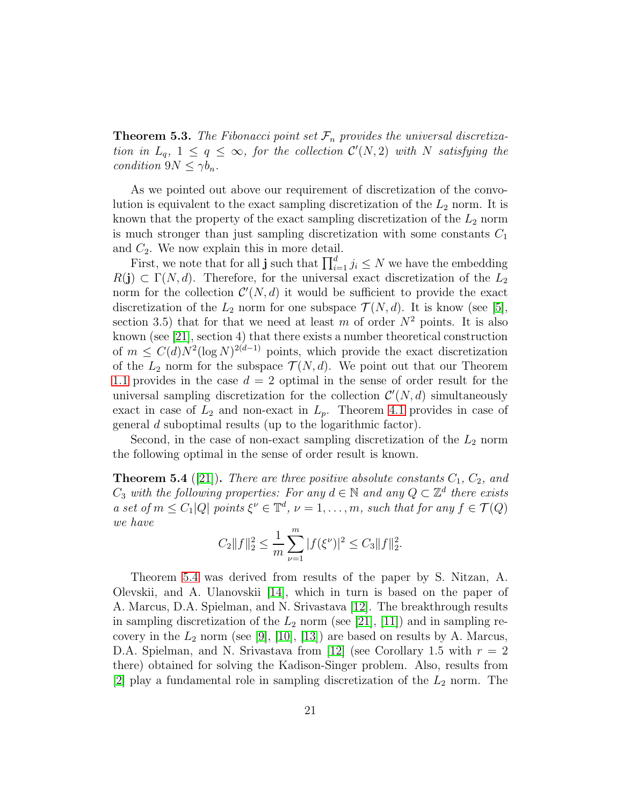**Theorem 5.3.** The Fibonacci point set  $\mathcal{F}_n$  provides the universal discretiza*tion in*  $L_q$ ,  $1 \le q \le \infty$ , for the collection  $\mathcal{C}'(N,2)$  with N satisfying the *condition*  $9N \leq \gamma b_n$ *.* 

As we pointed out above our requirement of discretization of the convolution is equivalent to the exact sampling discretization of the  $L_2$  norm. It is known that the property of the exact sampling discretization of the  $L_2$  norm is much stronger than just sampling discretization with some constants  $C_1$ and  $C_2$ . We now explain this in more detail.

First, we note that for all **j** such that  $\prod_{i=1}^{d} j_i \leq N$  we have the embedding  $R(j) \subset \Gamma(N, d)$ . Therefore, for the universal exact discretization of the  $L_2$ norm for the collection  $\mathcal{C}'(N,d)$  it would be sufficient to provide the exact discretization of the  $L_2$  norm for one subspace  $\mathcal{T}(N, d)$ . It is know (see [\[5\]](#page-23-1), section 3.5) that for that we need at least m of order  $N^2$  points. It is also known (see [\[21\]](#page-24-9), section 4) that there exists a number theoretical construction of  $m \leq C(d)N^2(\log N)^{2(d-1)}$  points, which provide the exact discretization of the  $L_2$  norm for the subspace  $\mathcal{T}(N, d)$ . We point out that our Theorem [1.1](#page-3-0) provides in the case  $d = 2$  optimal in the sense of order result for the universal sampling discretization for the collection  $\mathcal{C}'(N,d)$  simultaneously exact in case of  $L_2$  and non-exact in  $L_p$ . Theorem [4.1](#page-15-1) provides in case of general d suboptimal results (up to the logarithmic factor).

Second, in the case of non-exact sampling discretization of the  $L_2$  norm the following optimal in the sense of order result is known.

<span id="page-20-0"></span>**Theorem 5.4** ([\[21\]](#page-24-9)). *There are three positive absolute constants*  $C_1$ ,  $C_2$ , and  $C_3$  with the following properties: For any  $d \in \mathbb{N}$  and any  $Q \subset \mathbb{Z}^d$  there exists *a set of*  $m \leq C_1 |Q|$  *points*  $\xi^{\nu} \in \mathbb{T}^d$ ,  $\nu = 1, \ldots, m$ , such that for any  $f \in \mathcal{T}(Q)$ *we have*

$$
C_2||f||_2^2 \le \frac{1}{m}\sum_{\nu=1}^m |f(\xi^{\nu})|^2 \le C_3||f||_2^2.
$$

Theorem [5.4](#page-20-0) was derived from results of the paper by S. Nitzan, A. Olevskii, and A. Ulanovskii [\[14\]](#page-24-10), which in turn is based on the paper of A. Marcus, D.A. Spielman, and N. Srivastava [\[12\]](#page-23-4). The breakthrough results in sampling discretization of the  $L_2$  norm (see [\[21\]](#page-24-9), [\[11\]](#page-23-5)) and in sampling recovery in the  $L_2$  norm (see [\[9\]](#page-23-6), [\[10\]](#page-23-7), [\[13\]](#page-23-8)) are based on results by A. Marcus, D.A. Spielman, and N. Srivastava from [\[12\]](#page-23-4) (see Corollary 1.5 with  $r = 2$ ) there) obtained for solving the Kadison-Singer problem. Also, results from [\[2\]](#page-22-2) play a fundamental role in sampling discretization of the  $L_2$  norm. The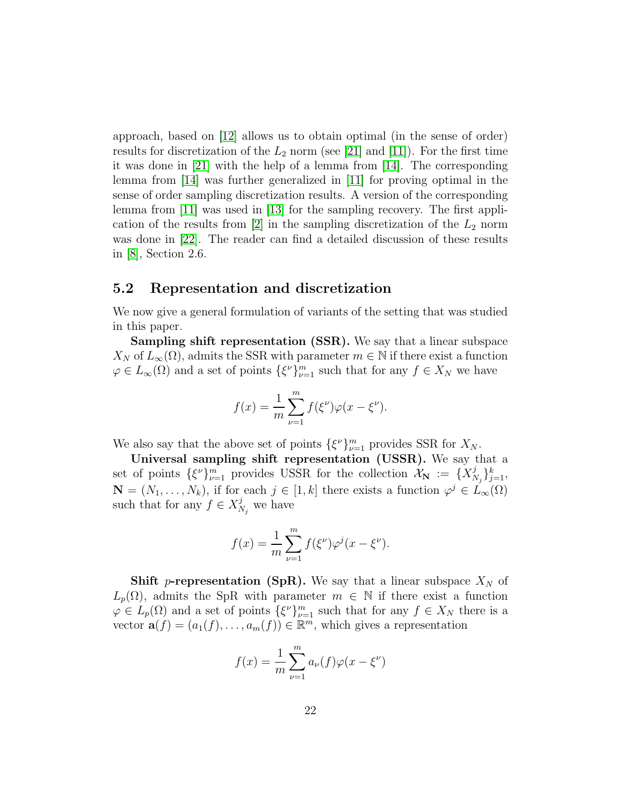approach, based on  $|12|$  allows us to obtain optimal (in the sense of order) results for discretization of the  $L_2$  norm (see [\[21\]](#page-24-9) and [\[11\]](#page-23-5)). For the first time it was done in [\[21\]](#page-24-9) with the help of a lemma from [\[14\]](#page-24-10). The corresponding lemma from [\[14\]](#page-24-10) was further generalized in [\[11\]](#page-23-5) for proving optimal in the sense of order sampling discretization results. A version of the corresponding lemma from [\[11\]](#page-23-5) was used in [\[13\]](#page-23-8) for the sampling recovery. The first appli-cation of the results from [\[2\]](#page-22-2) in the sampling discretization of the  $L_2$  norm was done in [\[22\]](#page-24-4). The reader can find a detailed discussion of these results in [\[8\]](#page-23-9), Section 2.6.

#### 5.2 Representation and discretization

We now give a general formulation of variants of the setting that was studied in this paper.

Sampling shift representation (SSR). We say that a linear subspace  $X_N$  of  $L_\infty(\Omega)$ , admits the SSR with parameter  $m \in \mathbb{N}$  if there exist a function  $\varphi \in L_{\infty}(\Omega)$  and a set of points  $\{\xi^{\nu}\}_{\nu=1}^{m}$  such that for any  $f \in X_N$  we have

$$
f(x) = \frac{1}{m} \sum_{\nu=1}^{m} f(\xi^{\nu}) \varphi(x - \xi^{\nu}).
$$

We also say that the above set of points  $\{\xi^{\nu}\}_{\nu=1}^m$  provides SSR for  $X_N$ .

Universal sampling shift representation (USSR). We say that a set of points  $\{\xi^{\nu}\}_{\nu=1}^{m}$  provides USSR for the collection  $\mathcal{X}_{N} := \{X_{N}^{j}$  $\{j \atop N_j\}_{j=1}^k,$  $\mathbf{N} = (N_1, \ldots, N_k)$ , if for each  $j \in [1, k]$  there exists a function  $\varphi^j \in L_\infty(\Omega)$ such that for any  $f \in X^j$  $\chi^j_{N_j}$  we have

$$
f(x) = \frac{1}{m} \sum_{\nu=1}^{m} f(\xi^{\nu}) \varphi^{j} (x - \xi^{\nu}).
$$

**Shift p-representation (SpR).** We say that a linear subspace  $X_N$  of  $L_p(\Omega)$ , admits the SpR with parameter  $m \in \mathbb{N}$  if there exist a function  $\varphi \in L_p(\Omega)$  and a set of points  $\{\xi^{\nu}\}_{\nu=1}^m$  such that for any  $f \in X_N$  there is a vector  $\mathbf{a}(f) = (a_1(f), \ldots, a_m(f)) \in \mathbb{R}^m$ , which gives a representation

$$
f(x) = \frac{1}{m} \sum_{\nu=1}^{m} a_{\nu}(f) \varphi(x - \xi^{\nu})
$$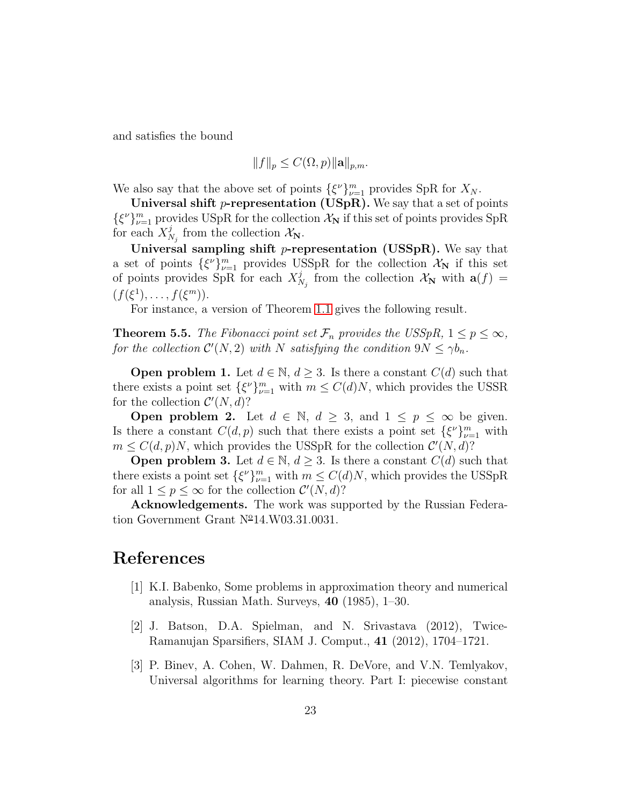and satisfies the bound

$$
||f||_p \leq C(\Omega, p)||\mathbf{a}||_{p,m}.
$$

We also say that the above set of points  $\{\xi^{\nu}\}_{\nu=1}^m$  provides SpR for  $X_N$ .

Universal shift p-representation (USpR). We say that a set of points  $\{\xi^{\nu}\}_{\nu=1}^m$  provides USpR for the collection  $\mathcal{X}_N$  if this set of points provides SpR for each  $X_N^j$  $\chi_{N_j}^j$  from the collection  $\mathcal{X}_{\mathbf{N}}$ .

Universal sampling shift *p*-representation (USSpR). We say that a set of points  $\{\xi^{\nu}\}_{\nu=1}^m$  provides USSpR for the collection  $\mathcal{X}_{N}$  if this set of points provides SpR for each  $X_{N}^{j}$  $\mathcal{N}_{N_j}$  from the collection  $\mathcal{X}_{\mathbf{N}}$  with  $\mathbf{a}(f) =$  $(f(\xi^1), \ldots, f(\xi^m)).$ 

For instance, a version of Theorem [1.1](#page-3-0) gives the following result.

**Theorem 5.5.** *The Fibonacci point set*  $\mathcal{F}_n$  *provides the USSpR,*  $1 \leq p \leq \infty$ *,* for the collection  $\mathcal{C}'(N,2)$  with N satisfying the condition  $9N \leq \gamma b_n$ .

**Open problem 1.** Let  $d \in \mathbb{N}$ ,  $d \geq 3$ . Is there a constant  $C(d)$  such that there exists a point set  $\{\xi^{\nu}\}_{\nu=1}^m$  with  $m \leq C(d)N$ , which provides the USSR for the collection  $\mathcal{C}'(N,d)$ ?

**Open problem 2.** Let  $d \in \mathbb{N}$ ,  $d \geq 3$ , and  $1 \leq p \leq \infty$  be given. Is there a constant  $C(d, p)$  such that there exists a point set  $\{\xi^{\nu}\}_{\nu=1}^m$  with  $m \leq C(d, p)N$ , which provides the USSpR for the collection  $\mathcal{C}'(N, d)$ ?

**Open problem 3.** Let  $d \in \mathbb{N}$ ,  $d \geq 3$ . Is there a constant  $C(d)$  such that there exists a point set  $\{\xi^{\nu}\}_{\nu=1}^m$  with  $m \leq C(d)N$ , which provides the USSpR for all  $1 \leq p \leq \infty$  for the collection  $\mathcal{C}'(N,d)$ ?

Acknowledgements. The work was supported by the Russian Federation Government Grant  $N^{\circ}14. W03.31.0031$ .

## <span id="page-22-0"></span>References

- [1] K.I. Babenko, Some problems in approximation theory and numerical analysis, Russian Math. Surveys, 40 (1985), 1–30.
- <span id="page-22-2"></span>[2] J. Batson, D.A. Spielman, and N. Srivastava (2012), Twice-Ramanujan Sparsifiers, SIAM J. Comput., 41 (2012), 1704–1721.
- <span id="page-22-1"></span>[3] P. Binev, A. Cohen, W. Dahmen, R. DeVore, and V.N. Temlyakov, Universal algorithms for learning theory. Part I: piecewise constant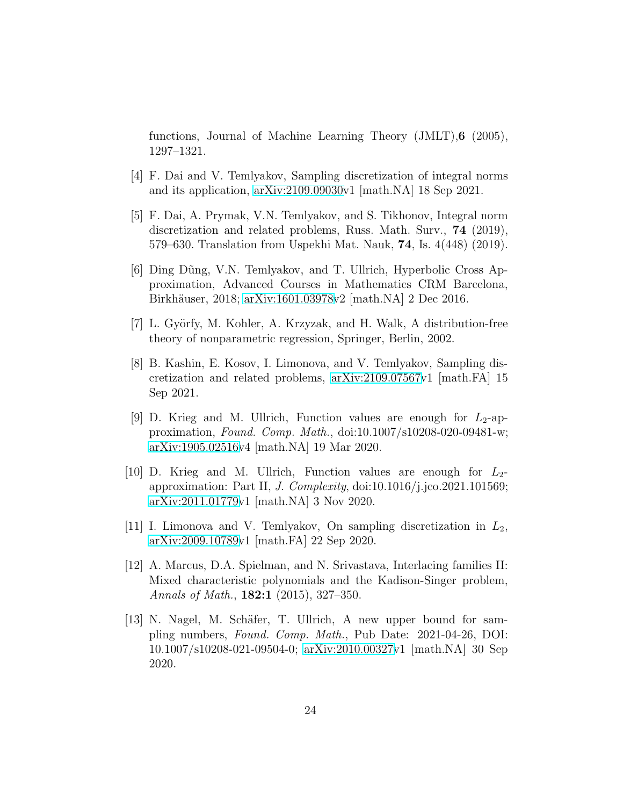functions, Journal of Machine Learning Theory (JMLT),6 (2005), 1297–1321.

- <span id="page-23-2"></span><span id="page-23-1"></span>[4] F. Dai and V. Temlyakov, Sampling discretization of integral norms and its application, [arXiv:2109.09030v](http://arxiv.org/abs/2109.09030)1 [math.NA] 18 Sep 2021.
- [5] F. Dai, A. Prymak, V.N. Temlyakov, and S. Tikhonov, Integral norm discretization and related problems, Russ. Math. Surv., 74 (2019), 579–630. Translation from Uspekhi Mat. Nauk, 74, Is. 4(448) (2019).
- <span id="page-23-3"></span>[6] Ding Dũng, V.N. Temlyakov, and T. Ullrich, Hyperbolic Cross Approximation, Advanced Courses in Mathematics CRM Barcelona, Birkhäuser, 2018; [arXiv:1601.03978v](http://arxiv.org/abs/1601.03978)2 [math.NA] 2 Dec 2016.
- <span id="page-23-9"></span><span id="page-23-0"></span>[7] L. Györfy, M. Kohler, A. Krzyzak, and H. Walk, A distribution-free theory of nonparametric regression, Springer, Berlin, 2002.
- [8] B. Kashin, E. Kosov, I. Limonova, and V. Temlyakov, Sampling discretization and related problems, [arXiv:2109.07567v](http://arxiv.org/abs/2109.07567)1 [math.FA] 15 Sep 2021.
- <span id="page-23-6"></span>[9] D. Krieg and M. Ullrich, Function values are enough for  $L_2$ -approximation, *Found. Comp. Math.*, doi:10.1007/s10208-020-09481-w; [arXiv:1905.02516v](http://arxiv.org/abs/1905.02516)4 [math.NA] 19 Mar 2020.
- <span id="page-23-7"></span>[10] D. Krieg and M. Ullrich, Function values are enough for  $L_2$ approximation: Part II, *J. Complexity*, doi:10.1016/j.jco.2021.101569; [arXiv:2011.01779v](http://arxiv.org/abs/2011.01779)1 [math.NA] 3 Nov 2020.
- <span id="page-23-5"></span>[11] I. Limonova and V. Temlyakov, On sampling discretization in  $L_2$ , [arXiv:2009.10789v](http://arxiv.org/abs/2009.10789)1 [math.FA] 22 Sep 2020.
- <span id="page-23-4"></span>[12] A. Marcus, D.A. Spielman, and N. Srivastava, Interlacing families II: Mixed characteristic polynomials and the Kadison-Singer problem, *Annals of Math.*, 182:1 (2015), 327–350.
- <span id="page-23-8"></span>[13] N. Nagel, M. Schäfer, T. Ullrich, A new upper bound for sampling numbers, *Found. Comp. Math.*, Pub Date: 2021-04-26, DOI: 10.1007/s10208-021-09504-0; [arXiv:2010.00327v](http://arxiv.org/abs/2010.00327)1 [math.NA] 30 Sep 2020.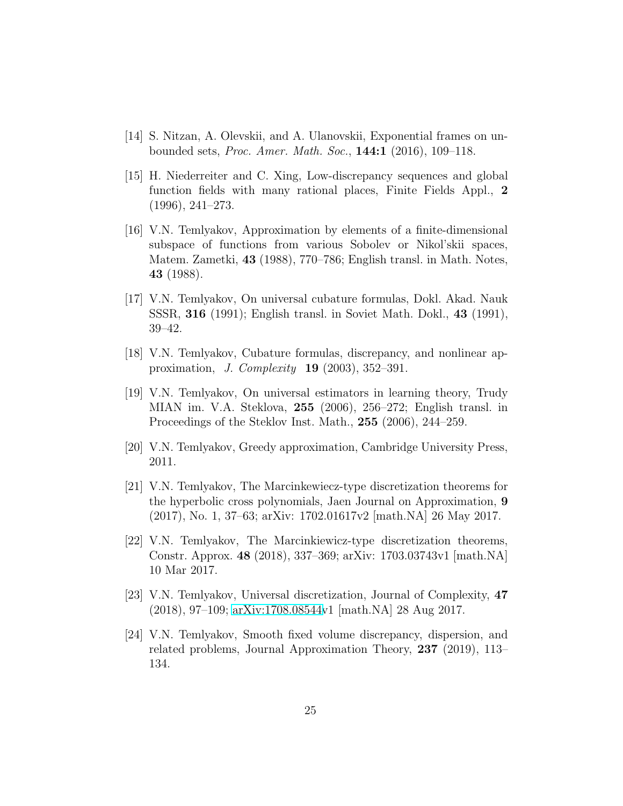- <span id="page-24-10"></span><span id="page-24-7"></span>[14] S. Nitzan, A. Olevskii, and A. Ulanovskii, Exponential frames on unbounded sets, *Proc. Amer. Math. Soc.*, 144:1 (2016), 109–118.
- [15] H. Niederreiter and C. Xing, Low-discrepancy sequences and global function fields with many rational places, Finite Fields Appl., 2 (1996), 241–273.
- <span id="page-24-0"></span>[16] V.N. Temlyakov, Approximation by elements of a finite-dimensional subspace of functions from various Sobolev or Nikol'skii spaces, Matem. Zametki, 43 (1988), 770–786; English transl. in Math. Notes, 43 (1988).
- <span id="page-24-1"></span>[17] V.N. Temlyakov, On universal cubature formulas, Dokl. Akad. Nauk SSSR, 316 (1991); English transl. in Soviet Math. Dokl., 43 (1991), 39–42.
- <span id="page-24-6"></span><span id="page-24-2"></span>[18] V.N. Temlyakov, Cubature formulas, discrepancy, and nonlinear approximation, *J. Complexity* 19 (2003), 352–391.
- [19] V.N. Temlyakov, On universal estimators in learning theory, Trudy MIAN im. V.A. Steklova, 255 (2006), 256–272; English transl. in Proceedings of the Steklov Inst. Math., 255 (2006), 244–259.
- <span id="page-24-9"></span><span id="page-24-3"></span>[20] V.N. Temlyakov, Greedy approximation, Cambridge University Press, 2011.
- [21] V.N. Temlyakov, The Marcinkewiecz-type discretization theorems for the hyperbolic cross polynomials, Jaen Journal on Approximation, 9 (2017), No. 1, 37–63; arXiv: 1702.01617v2 [math.NA] 26 May 2017.
- <span id="page-24-4"></span>[22] V.N. Temlyakov, The Marcinkiewicz-type discretization theorems, Constr. Approx. 48 (2018), 337–369; arXiv: 1703.03743v1 [math.NA] 10 Mar 2017.
- <span id="page-24-5"></span>[23] V.N. Temlyakov, Universal discretization, Journal of Complexity, 47 (2018), 97–109; [arXiv:1708.08544v](http://arxiv.org/abs/1708.08544)1 [math.NA] 28 Aug 2017.
- <span id="page-24-8"></span>[24] V.N. Temlyakov, Smooth fixed volume discrepancy, dispersion, and related problems, Journal Approximation Theory, 237 (2019), 113– 134.